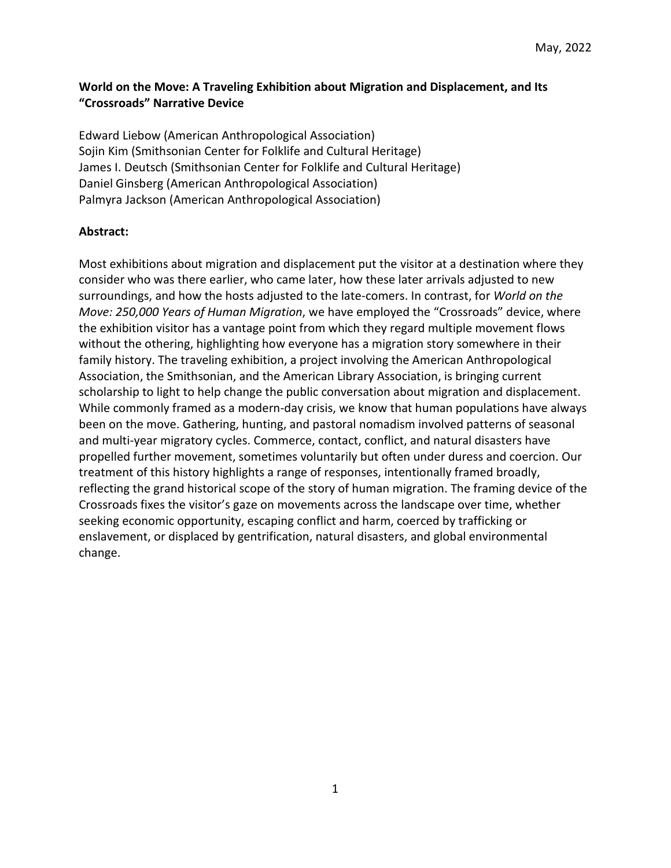# **World on the Move: A Traveling Exhibition about Migration and Displacement, and Its "Crossroads" Narrative Device**

Edward Liebow (American Anthropological Association) Sojin Kim (Smithsonian Center for Folklife and Cultural Heritage) James I. Deutsch (Smithsonian Center for Folklife and Cultural Heritage) Daniel Ginsberg (American Anthropological Association) Palmyra Jackson (American Anthropological Association)

## **Abstract:**

Most exhibitions about migration and displacement put the visitor at a destination where they consider who was there earlier, who came later, how these later arrivals adjusted to new surroundings, and how the hosts adjusted to the late-comers. In contrast, for *World on the Move: 250,000 Years of Human Migration*, we have employed the "Crossroads" device, where the exhibition visitor has a vantage point from which they regard multiple movement flows without the othering, highlighting how everyone has a migration story somewhere in their family history. The traveling exhibition, a project involving the American Anthropological Association, the Smithsonian, and the American Library Association, is bringing current scholarship to light to help change the public conversation about migration and displacement. While commonly framed as a modern-day crisis, we know that human populations have always been on the move. Gathering, hunting, and pastoral nomadism involved patterns of seasonal and multi-year migratory cycles. Commerce, contact, conflict, and natural disasters have propelled further movement, sometimes voluntarily but often under duress and coercion. Our treatment of this history highlights a range of responses, intentionally framed broadly, reflecting the grand historical scope of the story of human migration. The framing device of the Crossroads fixes the visitor's gaze on movements across the landscape over time, whether seeking economic opportunity, escaping conflict and harm, coerced by trafficking or enslavement, or displaced by gentrification, natural disasters, and global environmental change.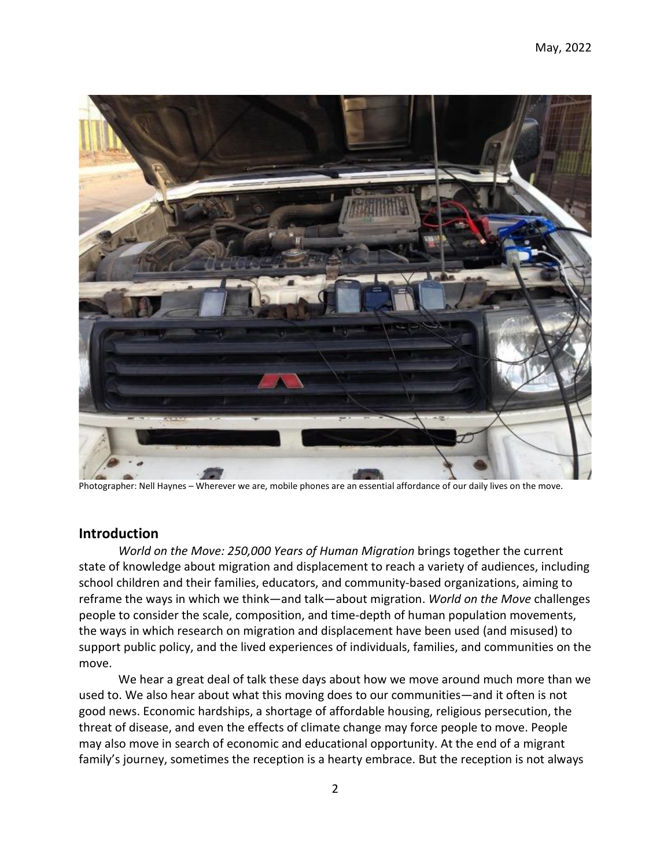

Photographer: Nell Haynes – Wherever we are, mobile phones are an essential affordance of our daily lives on the move.

# **Introduction**

*World on the Move: 250,000 Years of Human Migration* brings together the current state of knowledge about migration and displacement to reach a variety of audiences, including school children and their families, educators, and community-based organizations, aiming to reframe the ways in which we think—and talk—about migration. *World on the Move* challenges people to consider the scale, composition, and time-depth of human population movements, the ways in which research on migration and displacement have been used (and misused) to support public policy, and the lived experiences of individuals, families, and communities on the move.

We hear a great deal of talk these days about how we move around much more than we used to. We also hear about what this moving does to our communities—and it often is not good news. Economic hardships, a shortage of affordable housing, religious persecution, the threat of disease, and even the effects of climate change may force people to move. People may also move in search of economic and educational opportunity. At the end of a migrant family's journey, sometimes the reception is a hearty embrace. But the reception is not always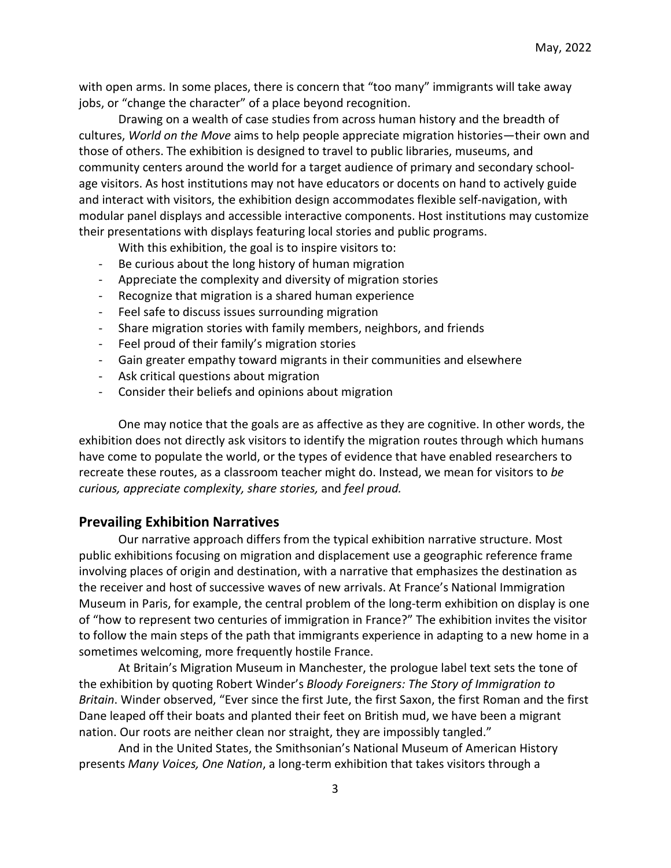with open arms. In some places, there is concern that "too many" immigrants will take away jobs, or "change the character" of a place beyond recognition.

Drawing on a wealth of case studies from across human history and the breadth of cultures, *World on the Move* aims to help people appreciate migration histories—their own and those of others. The exhibition is designed to travel to public libraries, museums, and community centers around the world for a target audience of primary and secondary schoolage visitors. As host institutions may not have educators or docents on hand to actively guide and interact with visitors, the exhibition design accommodates flexible self-navigation, with modular panel displays and accessible interactive components. Host institutions may customize their presentations with displays featuring local stories and public programs.

With this exhibition, the goal is to inspire visitors to:

- Be curious about the long history of human migration
- Appreciate the complexity and diversity of migration stories
- Recognize that migration is a shared human experience
- Feel safe to discuss issues surrounding migration
- Share migration stories with family members, neighbors, and friends
- Feel proud of their family's migration stories
- Gain greater empathy toward migrants in their communities and elsewhere
- Ask critical questions about migration
- Consider their beliefs and opinions about migration

One may notice that the goals are as affective as they are cognitive. In other words, the exhibition does not directly ask visitors to identify the migration routes through which humans have come to populate the world, or the types of evidence that have enabled researchers to recreate these routes, as a classroom teacher might do. Instead, we mean for visitors to *be curious, appreciate complexity, share stories,* and *feel proud.*

#### **Prevailing Exhibition Narratives**

Our narrative approach differs from the typical exhibition narrative structure. Most public exhibitions focusing on migration and displacement use a geographic reference frame involving places of origin and destination, with a narrative that emphasizes the destination as the receiver and host of successive waves of new arrivals. At France's National Immigration Museum in Paris, for example, the central problem of the long-term exhibition on display is one of "how to represent two centuries of immigration in France?" The exhibition invites the visitor to follow the main steps of the path that immigrants experience in adapting to a new home in a sometimes welcoming, more frequently hostile France.

At Britain's Migration Museum in Manchester, the prologue label text sets the tone of the exhibition by quoting Robert Winder's *Bloody Foreigners: The Story of Immigration to Britain*. Winder observed, "Ever since the first Jute, the first Saxon, the first Roman and the first Dane leaped off their boats and planted their feet on British mud, we have been a migrant nation. Our roots are neither clean nor straight, they are impossibly tangled."

And in the United States, the Smithsonian's National Museum of American History presents *Many Voices, One Nation*, a long-term exhibition that takes visitors through a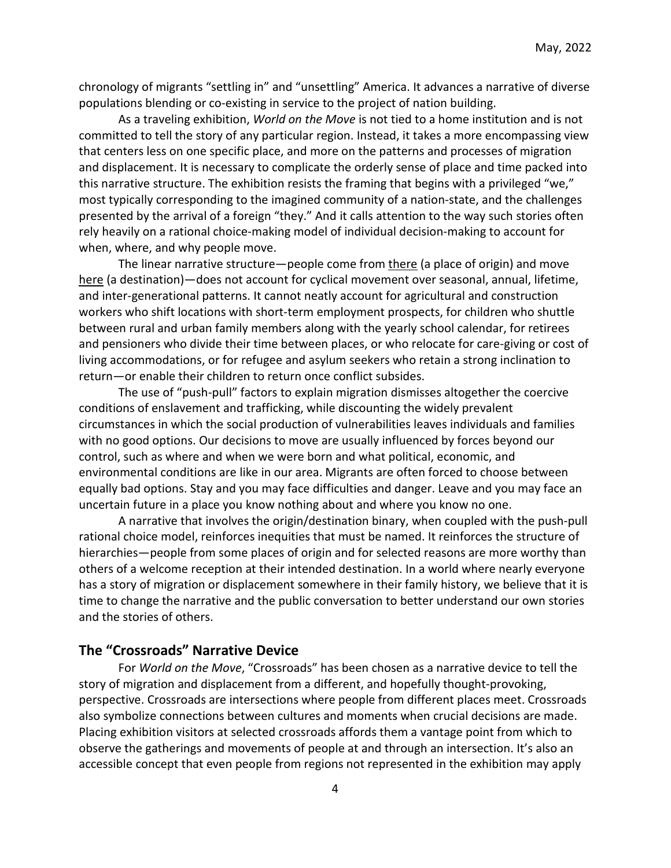chronology of migrants "settling in" and "unsettling" America. It advances a narrative of diverse populations blending or co-existing in service to the project of nation building.

As a traveling exhibition, *World on the Move* is not tied to a home institution and is not committed to tell the story of any particular region. Instead, it takes a more encompassing view that centers less on one specific place, and more on the patterns and processes of migration and displacement. It is necessary to complicate the orderly sense of place and time packed into this narrative structure. The exhibition resists the framing that begins with a privileged "we," most typically corresponding to the imagined community of a nation-state, and the challenges presented by the arrival of a foreign "they." And it calls attention to the way such stories often rely heavily on a rational choice-making model of individual decision-making to account for when, where, and why people move.

The linear narrative structure—people come from there (a place of origin) and move here (a destination)—does not account for cyclical movement over seasonal, annual, lifetime, and inter-generational patterns. It cannot neatly account for agricultural and construction workers who shift locations with short-term employment prospects, for children who shuttle between rural and urban family members along with the yearly school calendar, for retirees and pensioners who divide their time between places, or who relocate for care-giving or cost of living accommodations, or for refugee and asylum seekers who retain a strong inclination to return—or enable their children to return once conflict subsides.

The use of "push-pull" factors to explain migration dismisses altogether the coercive conditions of enslavement and trafficking, while discounting the widely prevalent circumstances in which the social production of vulnerabilities leaves individuals and families with no good options. Our decisions to move are usually influenced by forces beyond our control, such as where and when we were born and what political, economic, and environmental conditions are like in our area. Migrants are often forced to choose between equally bad options. Stay and you may face difficulties and danger. Leave and you may face an uncertain future in a place you know nothing about and where you know no one.

A narrative that involves the origin/destination binary, when coupled with the push-pull rational choice model, reinforces inequities that must be named. It reinforces the structure of hierarchies—people from some places of origin and for selected reasons are more worthy than others of a welcome reception at their intended destination. In a world where nearly everyone has a story of migration or displacement somewhere in their family history, we believe that it is time to change the narrative and the public conversation to better understand our own stories and the stories of others.

# **The "Crossroads" Narrative Device**

For *World on the Move*, "Crossroads" has been chosen as a narrative device to tell the story of migration and displacement from a different, and hopefully thought-provoking, perspective. Crossroads are intersections where people from different places meet. Crossroads also symbolize connections between cultures and moments when crucial decisions are made. Placing exhibition visitors at selected crossroads affords them a vantage point from which to observe the gatherings and movements of people at and through an intersection. It's also an accessible concept that even people from regions not represented in the exhibition may apply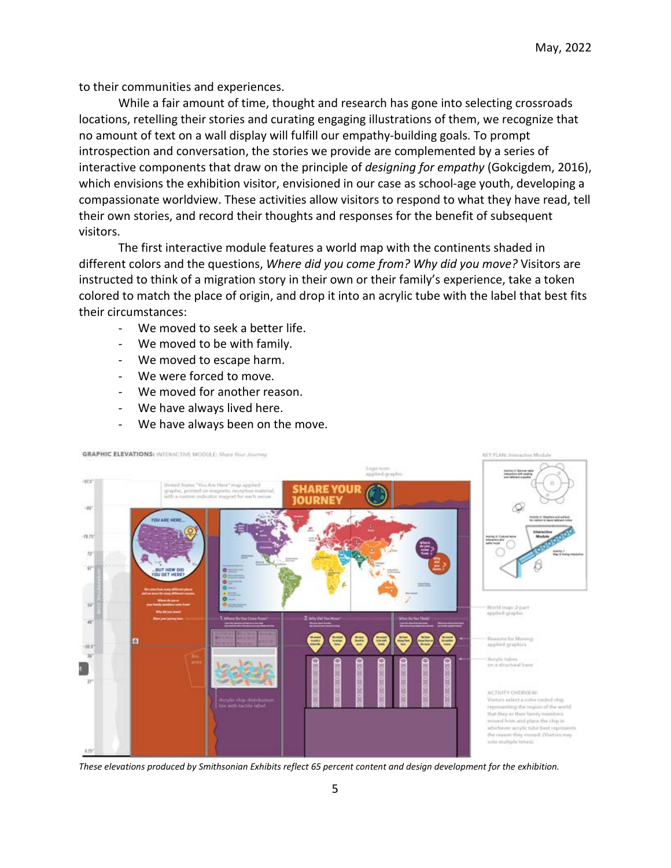to their communities and experiences.

While a fair amount of time, thought and research has gone into selecting crossroads locations, retelling their stories and curating engaging illustrations of them, we recognize that no amount of text on a wall display will fulfill our empathy-building goals. To prompt introspection and conversation, the stories we provide are complemented by a series of interactive components that draw on the principle of *designing for empathy* (Gokcigdem, 2016), which envisions the exhibition visitor, envisioned in our case as school-age youth, developing a compassionate worldview. These activities allow visitors to respond to what they have read, tell their own stories, and record their thoughts and responses for the benefit of subsequent visitors.

The first interactive module features a world map with the continents shaded in different colors and the questions, *Where did you come from? Why did you move?* Visitors are instructed to think of a migration story in their own or their family's experience, take a token colored to match the place of origin, and drop it into an acrylic tube with the label that best fits their circumstances:

- We moved to seek a better life.
- We moved to be with family.
- We moved to escape harm.
- We were forced to move.
- We moved for another reason.
- We have always lived here.
- We have always been on the move.



*These elevations produced by Smithsonian Exhibits reflect 65 percent content and design development for the exhibition.*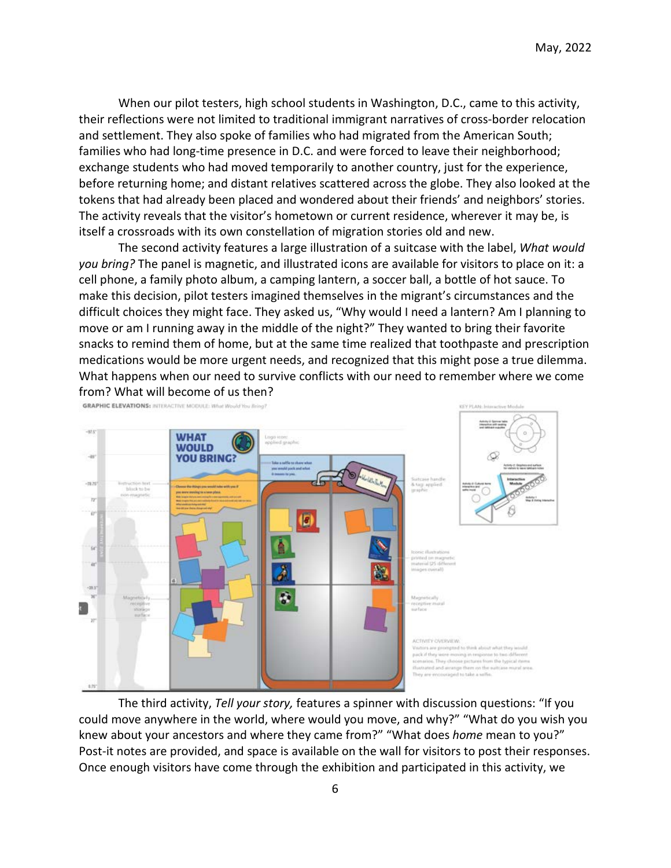When our pilot testers, high school students in Washington, D.C., came to this activity, their reflections were not limited to traditional immigrant narratives of cross-border relocation and settlement. They also spoke of families who had migrated from the American South; families who had long-time presence in D.C. and were forced to leave their neighborhood; exchange students who had moved temporarily to another country, just for the experience, before returning home; and distant relatives scattered across the globe. They also looked at the tokens that had already been placed and wondered about their friends' and neighbors' stories. The activity reveals that the visitor's hometown or current residence, wherever it may be, is itself a crossroads with its own constellation of migration stories old and new.

The second activity features a large illustration of a suitcase with the label, *What would you bring?* The panel is magnetic, and illustrated icons are available for visitors to place on it: a cell phone, a family photo album, a camping lantern, a soccer ball, a bottle of hot sauce. To make this decision, pilot testers imagined themselves in the migrant's circumstances and the difficult choices they might face. They asked us, "Why would I need a lantern? Am I planning to move or am I running away in the middle of the night?" They wanted to bring their favorite snacks to remind them of home, but at the same time realized that toothpaste and prescription medications would be more urgent needs, and recognized that this might pose a true dilemma. What happens when our need to survive conflicts with our need to remember where we come from? What will become of us then?



The third activity, *Tell your story,* features a spinner with discussion questions: "If you could move anywhere in the world, where would you move, and why?" "What do you wish you knew about your ancestors and where they came from?" "What does *home* mean to you?" Post-it notes are provided, and space is available on the wall for visitors to post their responses. Once enough visitors have come through the exhibition and participated in this activity, we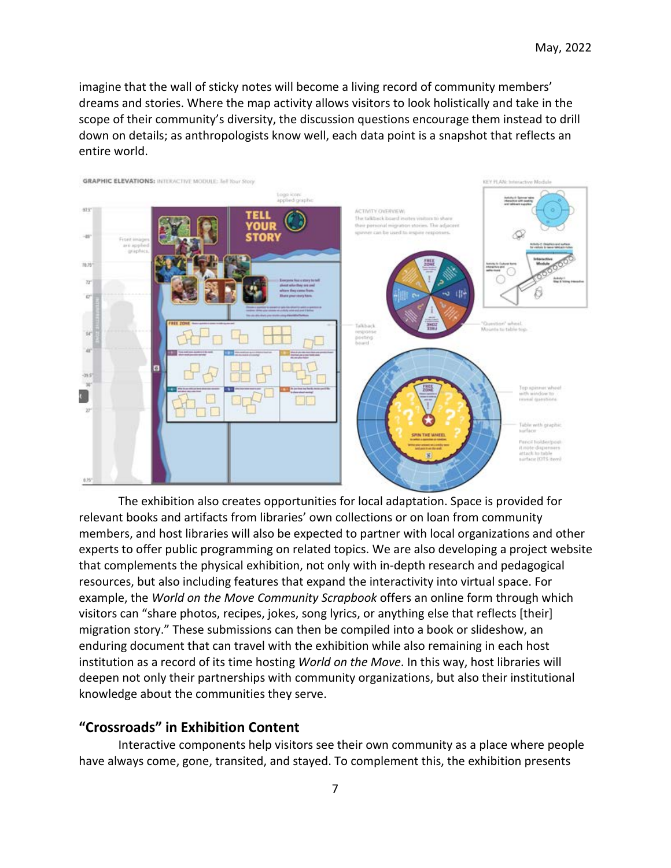imagine that the wall of sticky notes will become a living record of community members' dreams and stories. Where the map activity allows visitors to look holistically and take in the scope of their community's diversity, the discussion questions encourage them instead to drill down on details; as anthropologists know well, each data point is a snapshot that reflects an entire world.



The exhibition also creates opportunities for local adaptation. Space is provided for relevant books and artifacts from libraries' own collections or on loan from community members, and host libraries will also be expected to partner with local organizations and other experts to offer public programming on related topics. We are also developing a project website that complements the physical exhibition, not only with in-depth research and pedagogical resources, but also including features that expand the interactivity into virtual space. For example, the *World on the Move Community Scrapbook* offers an online form through which visitors can "share photos, recipes, jokes, song lyrics, or anything else that reflects [their] migration story." These submissions can then be compiled into a book or slideshow, an enduring document that can travel with the exhibition while also remaining in each host institution as a record of its time hosting *World on the Move*. In this way, host libraries will deepen not only their partnerships with community organizations, but also their institutional knowledge about the communities they serve.

# **"Crossroads" in Exhibition Content**

Interactive components help visitors see their own community as a place where people have always come, gone, transited, and stayed. To complement this, the exhibition presents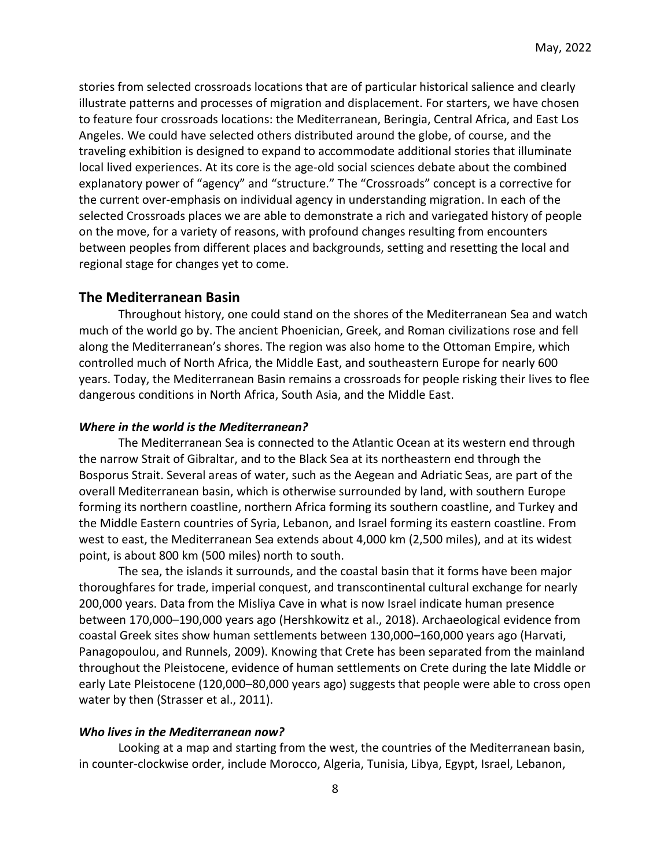stories from selected crossroads locations that are of particular historical salience and clearly illustrate patterns and processes of migration and displacement. For starters, we have chosen to feature four crossroads locations: the Mediterranean, Beringia, Central Africa, and East Los Angeles. We could have selected others distributed around the globe, of course, and the traveling exhibition is designed to expand to accommodate additional stories that illuminate local lived experiences. At its core is the age-old social sciences debate about the combined explanatory power of "agency" and "structure." The "Crossroads" concept is a corrective for the current over-emphasis on individual agency in understanding migration. In each of the selected Crossroads places we are able to demonstrate a rich and variegated history of people on the move, for a variety of reasons, with profound changes resulting from encounters between peoples from different places and backgrounds, setting and resetting the local and regional stage for changes yet to come.

## **The Mediterranean Basin**

Throughout history, one could stand on the shores of the Mediterranean Sea and watch much of the world go by. The ancient Phoenician, Greek, and Roman civilizations rose and fell along the Mediterranean's shores. The region was also home to the Ottoman Empire, which controlled much of North Africa, the Middle East, and southeastern Europe for nearly 600 years. Today, the Mediterranean Basin remains a crossroads for people risking their lives to flee dangerous conditions in North Africa, South Asia, and the Middle East.

#### *Where in the world is the Mediterranean?*

The Mediterranean Sea is connected to the Atlantic Ocean at its western end through the narrow Strait of Gibraltar, and to the Black Sea at its northeastern end through the Bosporus Strait. Several areas of water, such as the Aegean and Adriatic Seas, are part of the overall Mediterranean basin, which is otherwise surrounded by land, with southern Europe forming its northern coastline, northern Africa forming its southern coastline, and Turkey and the Middle Eastern countries of Syria, Lebanon, and Israel forming its eastern coastline. From west to east, the Mediterranean Sea extends about 4,000 km (2,500 miles), and at its widest point, is about 800 km (500 miles) north to south.

The sea, the islands it surrounds, and the coastal basin that it forms have been major thoroughfares for trade, imperial conquest, and transcontinental cultural exchange for nearly 200,000 years. Data from the Misliya Cave in what is now Israel indicate human presence between 170,000–190,000 years ago (Hershkowitz et al., 2018). Archaeological evidence from coastal Greek sites show human settlements between 130,000–160,000 years ago (Harvati, Panagopoulou, and Runnels, 2009). Knowing that Crete has been separated from the mainland throughout the Pleistocene, evidence of human settlements on Crete during the late Middle or early Late Pleistocene (120,000–80,000 years ago) suggests that people were able to cross open water by then (Strasser et al., 2011).

#### *Who lives in the Mediterranean now?*

Looking at a map and starting from the west, the countries of the Mediterranean basin, in counter-clockwise order, include Morocco, Algeria, Tunisia, Libya, Egypt, Israel, Lebanon,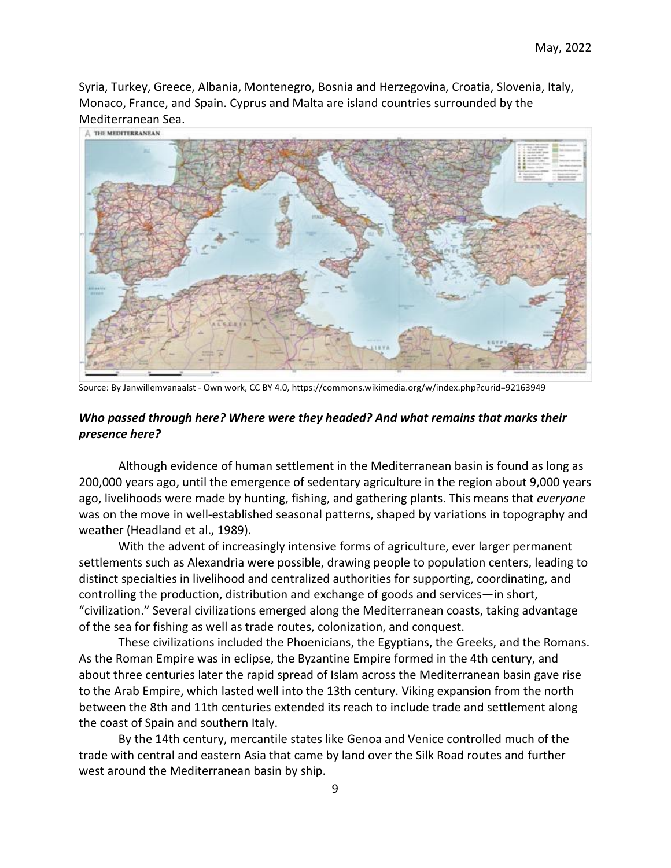Syria, Turkey, Greece, Albania, Montenegro, Bosnia and Herzegovina, Croatia, Slovenia, Italy, Monaco, France, and Spain. Cyprus and Malta are island countries surrounded by the Mediterranean Sea.



Source: By Janwillemvanaalst - Own work, CC BY 4.0, https://commons.wikimedia.org/w/index.php?curid=92163949

### *Who passed through here? Where were they headed? And what remains that marks their presence here?*

Although evidence of human settlement in the Mediterranean basin is found as long as 200,000 years ago, until the emergence of sedentary agriculture in the region about 9,000 years ago, livelihoods were made by hunting, fishing, and gathering plants. This means that *everyone* was on the move in well-established seasonal patterns, shaped by variations in topography and weather (Headland et al., 1989).

With the advent of increasingly intensive forms of agriculture, ever larger permanent settlements such as Alexandria were possible, drawing people to population centers, leading to distinct specialties in livelihood and centralized authorities for supporting, coordinating, and controlling the production, distribution and exchange of goods and services—in short, "civilization." Several civilizations emerged along the Mediterranean coasts, taking advantage of the sea for fishing as well as trade routes, colonization, and conquest.

These civilizations included the Phoenicians, the Egyptians, the Greeks, and the Romans. As the Roman Empire was in eclipse, the Byzantine Empire formed in the 4th century, and about three centuries later the rapid spread of Islam across the Mediterranean basin gave rise to the Arab Empire, which lasted well into the 13th century. Viking expansion from the north between the 8th and 11th centuries extended its reach to include trade and settlement along the coast of Spain and southern Italy.

By the 14th century, mercantile states like Genoa and Venice controlled much of the trade with central and eastern Asia that came by land over the Silk Road routes and further west around the Mediterranean basin by ship.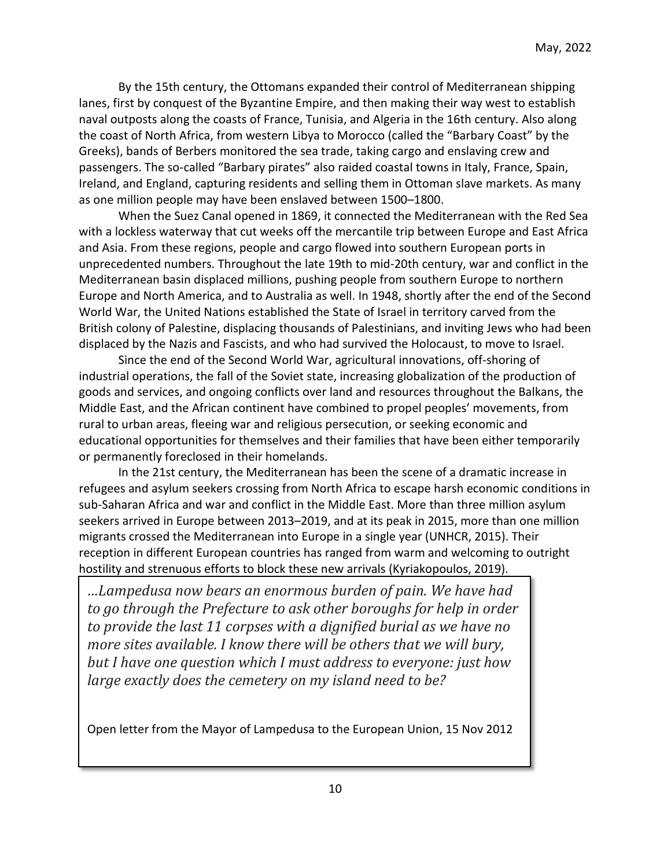By the 15th century, the Ottomans expanded their control of Mediterranean shipping lanes, first by conquest of the Byzantine Empire, and then making their way west to establish naval outposts along the coasts of France, Tunisia, and Algeria in the 16th century. Also along the coast of North Africa, from western Libya to Morocco (called the "Barbary Coast" by the Greeks), bands of Berbers monitored the sea trade, taking cargo and enslaving crew and passengers. The so-called "Barbary pirates" also raided coastal towns in Italy, France, Spain, Ireland, and England, capturing residents and selling them in Ottoman slave markets. As many as one million people may have been enslaved between 1500–1800.

When the Suez Canal opened in 1869, it connected the Mediterranean with the Red Sea with a lockless waterway that cut weeks off the mercantile trip between Europe and East Africa and Asia. From these regions, people and cargo flowed into southern European ports in unprecedented numbers. Throughout the late 19th to mid-20th century, war and conflict in the Mediterranean basin displaced millions, pushing people from southern Europe to northern Europe and North America, and to Australia as well. In 1948, shortly after the end of the Second World War, the United Nations established the State of Israel in territory carved from the British colony of Palestine, displacing thousands of Palestinians, and inviting Jews who had been displaced by the Nazis and Fascists, and who had survived the Holocaust, to move to Israel.

Since the end of the Second World War, agricultural innovations, off-shoring of industrial operations, the fall of the Soviet state, increasing globalization of the production of goods and services, and ongoing conflicts over land and resources throughout the Balkans, the Middle East, and the African continent have combined to propel peoples' movements, from rural to urban areas, fleeing war and religious persecution, or seeking economic and educational opportunities for themselves and their families that have been either temporarily or permanently foreclosed in their homelands.

In the 21st century, the Mediterranean has been the scene of a dramatic increase in refugees and asylum seekers crossing from North Africa to escape harsh economic conditions in sub-Saharan Africa and war and conflict in the Middle East. More than three million asylum seekers arrived in Europe between 2013–2019, and at its peak in 2015, more than one million migrants crossed the Mediterranean into Europe in a single year (UNHCR, 2015). Their reception in different European countries has ranged from warm and welcoming to outright hostility and strenuous efforts to block these new arrivals (Kyriakopoulos, 2019).

*…Lampedusa now bears an enormous burden of pain. We have had to go through the Prefecture to ask other boroughs for help in order to provide the last 11 corpses with a dignified burial as we have no more sites available. I know there will be others that we will bury, but I have one question which I must address to everyone: just how large exactly does the cemetery on my island need to be?*

Open letter from the Mayor of Lampedusa to the European Union, 15 Nov 2012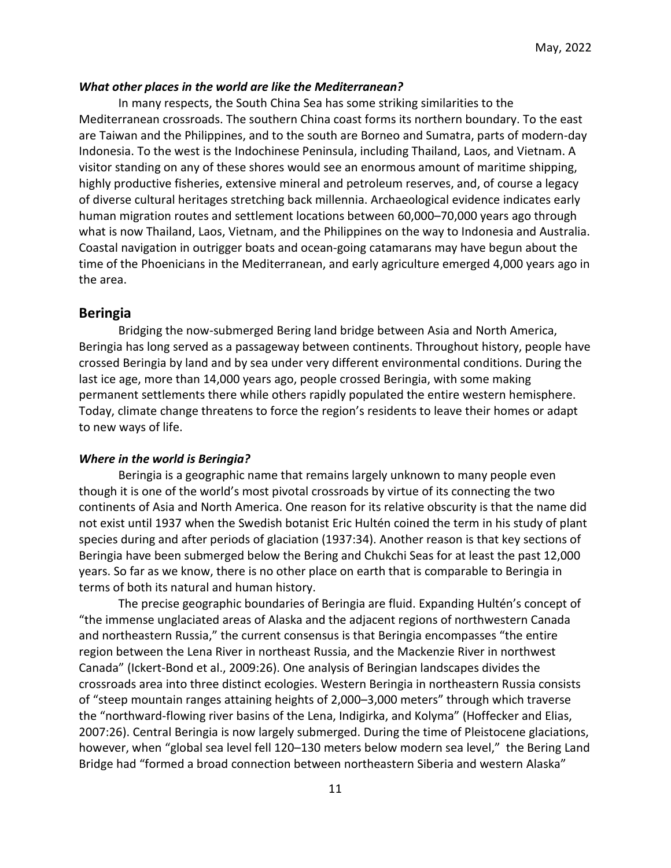#### *What other places in the world are like the Mediterranean?*

In many respects, the South China Sea has some striking similarities to the Mediterranean crossroads. The southern China coast forms its northern boundary. To the east are Taiwan and the Philippines, and to the south are Borneo and Sumatra, parts of modern-day Indonesia. To the west is the Indochinese Peninsula, including Thailand, Laos, and Vietnam. A visitor standing on any of these shores would see an enormous amount of maritime shipping, highly productive fisheries, extensive mineral and petroleum reserves, and, of course a legacy of diverse cultural heritages stretching back millennia. Archaeological evidence indicates early human migration routes and settlement locations between 60,000–70,000 years ago through what is now Thailand, Laos, Vietnam, and the Philippines on the way to Indonesia and Australia. Coastal navigation in outrigger boats and ocean-going catamarans may have begun about the time of the Phoenicians in the Mediterranean, and early agriculture emerged 4,000 years ago in the area.

### **Beringia**

Bridging the now-submerged Bering land bridge between Asia and North America, Beringia has long served as a passageway between continents. Throughout history, people have crossed Beringia by land and by sea under very different environmental conditions. During the last ice age, more than 14,000 years ago, people crossed Beringia, with some making permanent settlements there while others rapidly populated the entire western hemisphere. Today, climate change threatens to force the region's residents to leave their homes or adapt to new ways of life.

#### *Where in the world is Beringia?*

Beringia is a geographic name that remains largely unknown to many people even though it is one of the world's most pivotal crossroads by virtue of its connecting the two continents of Asia and North America. One reason for its relative obscurity is that the name did not exist until 1937 when the Swedish botanist Eric Hultén coined the term in his study of plant species during and after periods of glaciation (1937:34). Another reason is that key sections of Beringia have been submerged below the Bering and Chukchi Seas for at least the past 12,000 years. So far as we know, there is no other place on earth that is comparable to Beringia in terms of both its natural and human history.

The precise geographic boundaries of Beringia are fluid. Expanding Hultén's concept of "the immense unglaciated areas of Alaska and the adjacent regions of northwestern Canada and northeastern Russia," the current consensus is that Beringia encompasses "the entire region between the Lena River in northeast Russia, and the Mackenzie River in northwest Canada" (Ickert-Bond et al., 2009:26). One analysis of Beringian landscapes divides the crossroads area into three distinct ecologies. Western Beringia in northeastern Russia consists of "steep mountain ranges attaining heights of 2,000–3,000 meters" through which traverse the "northward-flowing river basins of the Lena, Indigirka, and Kolyma" (Hoffecker and Elias, 2007:26). Central Beringia is now largely submerged. During the time of Pleistocene glaciations, however, when "global sea level fell 120–130 meters below modern sea level," the Bering Land Bridge had "formed a broad connection between northeastern Siberia and western Alaska"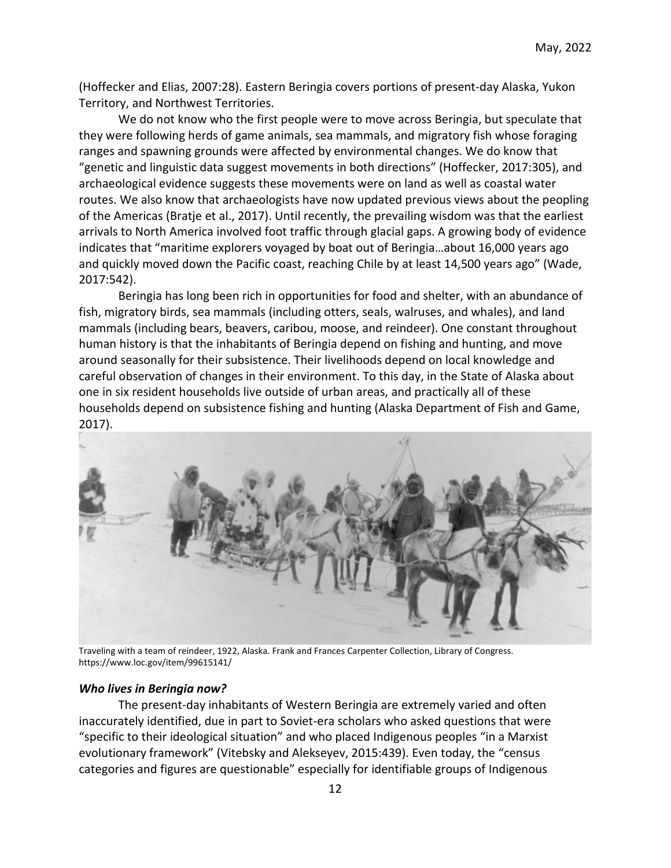(Hoffecker and Elias, 2007:28). Eastern Beringia covers portions of present-day Alaska, Yukon Territory, and Northwest Territories.

We do not know who the first people were to move across Beringia, but speculate that they were following herds of game animals, sea mammals, and migratory fish whose foraging ranges and spawning grounds were affected by environmental changes. We do know that "genetic and linguistic data suggest movements in both directions" (Hoffecker, 2017:305), and archaeological evidence suggests these movements were on land as well as coastal water routes. We also know that archaeologists have now updated previous views about the peopling of the Americas (Bratje et al., 2017). Until recently, the prevailing wisdom was that the earliest arrivals to North America involved foot traffic through glacial gaps. A growing body of evidence indicates that "maritime explorers voyaged by boat out of Beringia…about 16,000 years ago and quickly moved down the Pacific coast, reaching Chile by at least 14,500 years ago" (Wade, 2017:542).

Beringia has long been rich in opportunities for food and shelter, with an abundance of fish, migratory birds, sea mammals (including otters, seals, walruses, and whales), and land mammals (including bears, beavers, caribou, moose, and reindeer). One constant throughout human history is that the inhabitants of Beringia depend on fishing and hunting, and move around seasonally for their subsistence. Their livelihoods depend on local knowledge and careful observation of changes in their environment. To this day, in the State of Alaska about one in six resident households live outside of urban areas, and practically all of these households depend on subsistence fishing and hunting (Alaska Department of Fish and Game, 2017).



Traveling with a team of reindeer, 1922, Alaska. Frank and Frances Carpenter Collection, Library of Congress. https://www.loc.gov/item/99615141/

### *Who lives in Beringia now?*

The present-day inhabitants of Western Beringia are extremely varied and often inaccurately identified, due in part to Soviet-era scholars who asked questions that were "specific to their ideological situation" and who placed Indigenous peoples "in a Marxist evolutionary framework" (Vitebsky and Alekseyev, 2015:439). Even today, the "census categories and figures are questionable" especially for identifiable groups of Indigenous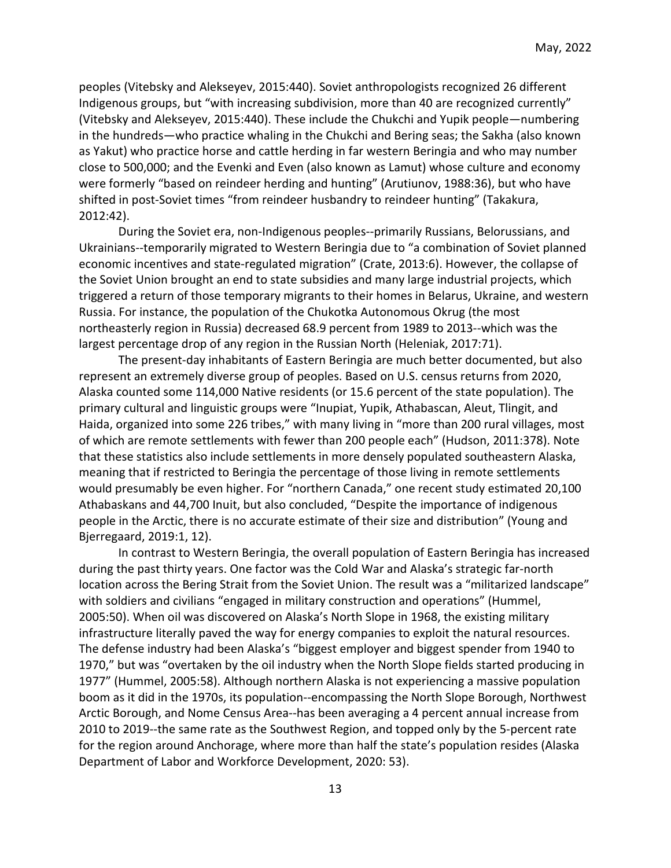peoples (Vitebsky and Alekseyev, 2015:440). Soviet anthropologists recognized 26 different Indigenous groups, but "with increasing subdivision, more than 40 are recognized currently" (Vitebsky and Alekseyev, 2015:440). These include the Chukchi and Yupik people—numbering in the hundreds—who practice whaling in the Chukchi and Bering seas; the Sakha (also known as Yakut) who practice horse and cattle herding in far western Beringia and who may number close to 500,000; and the Evenki and Even (also known as Lamut) whose culture and economy were formerly "based on reindeer herding and hunting" (Arutiunov, 1988:36), but who have shifted in post-Soviet times "from reindeer husbandry to reindeer hunting" (Takakura, 2012:42).

During the Soviet era, non-Indigenous peoples--primarily Russians, Belorussians, and Ukrainians--temporarily migrated to Western Beringia due to "a combination of Soviet planned economic incentives and state-regulated migration" (Crate, 2013:6). However, the collapse of the Soviet Union brought an end to state subsidies and many large industrial projects, which triggered a return of those temporary migrants to their homes in Belarus, Ukraine, and western Russia. For instance, the population of the Chukotka Autonomous Okrug (the most northeasterly region in Russia) decreased 68.9 percent from 1989 to 2013--which was the largest percentage drop of any region in the Russian North (Heleniak, 2017:71).

The present-day inhabitants of Eastern Beringia are much better documented, but also represent an extremely diverse group of peoples. Based on U.S. census returns from 2020, Alaska counted some 114,000 Native residents (or 15.6 percent of the state population). The primary cultural and linguistic groups were "Inupiat, Yupik, Athabascan, Aleut, Tlingit, and Haida, organized into some 226 tribes," with many living in "more than 200 rural villages, most of which are remote settlements with fewer than 200 people each" (Hudson, 2011:378). Note that these statistics also include settlements in more densely populated southeastern Alaska, meaning that if restricted to Beringia the percentage of those living in remote settlements would presumably be even higher. For "northern Canada," one recent study estimated 20,100 Athabaskans and 44,700 Inuit, but also concluded, "Despite the importance of indigenous people in the Arctic, there is no accurate estimate of their size and distribution" (Young and Bjerregaard, 2019:1, 12).

In contrast to Western Beringia, the overall population of Eastern Beringia has increased during the past thirty years. One factor was the Cold War and Alaska's strategic far-north location across the Bering Strait from the Soviet Union. The result was a "militarized landscape" with soldiers and civilians "engaged in military construction and operations" (Hummel, 2005:50). When oil was discovered on Alaska's North Slope in 1968, the existing military infrastructure literally paved the way for energy companies to exploit the natural resources. The defense industry had been Alaska's "biggest employer and biggest spender from 1940 to 1970," but was "overtaken by the oil industry when the North Slope fields started producing in 1977" (Hummel, 2005:58). Although northern Alaska is not experiencing a massive population boom as it did in the 1970s, its population--encompassing the North Slope Borough, Northwest Arctic Borough, and Nome Census Area--has been averaging a 4 percent annual increase from 2010 to 2019--the same rate as the Southwest Region, and topped only by the 5-percent rate for the region around Anchorage, where more than half the state's population resides (Alaska Department of Labor and Workforce Development, 2020: 53).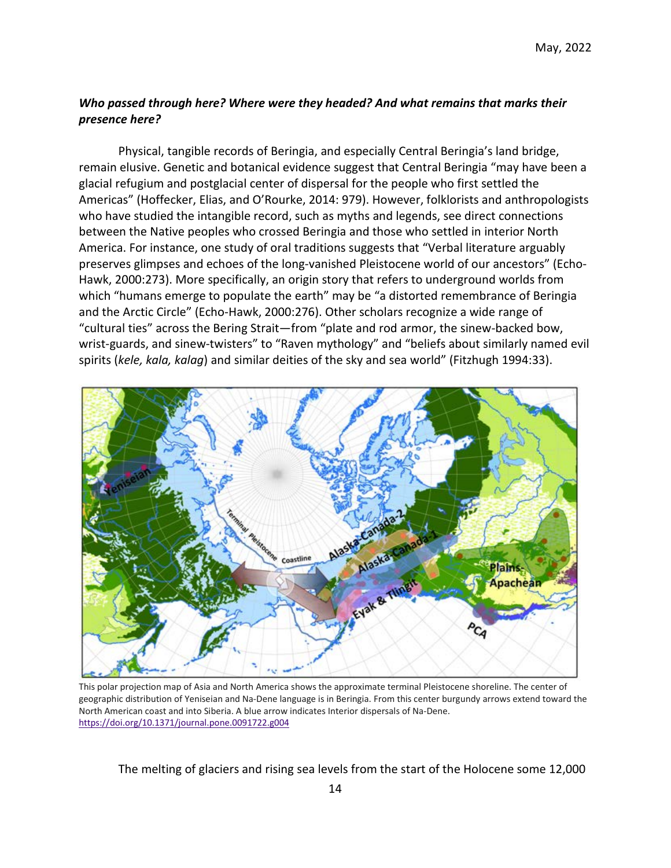## *Who passed through here? Where were they headed? And what remains that marks their presence here?*

Physical, tangible records of Beringia, and especially Central Beringia's land bridge, remain elusive. Genetic and botanical evidence suggest that Central Beringia "may have been a glacial refugium and postglacial center of dispersal for the people who first settled the Americas" (Hoffecker, Elias, and O'Rourke, 2014: 979). However, folklorists and anthropologists who have studied the intangible record, such as myths and legends, see direct connections between the Native peoples who crossed Beringia and those who settled in interior North America. For instance, one study of oral traditions suggests that "Verbal literature arguably preserves glimpses and echoes of the long-vanished Pleistocene world of our ancestors" (Echo-Hawk, 2000:273). More specifically, an origin story that refers to underground worlds from which "humans emerge to populate the earth" may be "a distorted remembrance of Beringia and the Arctic Circle" (Echo-Hawk, 2000:276). Other scholars recognize a wide range of "cultural ties" across the Bering Strait—from "plate and rod armor, the sinew-backed bow, wrist-guards, and sinew-twisters" to "Raven mythology" and "beliefs about similarly named evil spirits (*kele, kala, kalag*) and similar deities of the sky and sea world" (Fitzhugh 1994:33).



This polar projection map of Asia and North America shows the approximate terminal Pleistocene shoreline. The center of geographic distribution of Yeniseian and Na-Dene language is in Beringia. From this center burgundy arrows extend toward the North American coast and into Siberia. A blue arrow indicates Interior dispersals of Na-Dene. <https://doi.org/10.1371/journal.pone.0091722.g004>

The melting of glaciers and rising sea levels from the start of the Holocene some 12,000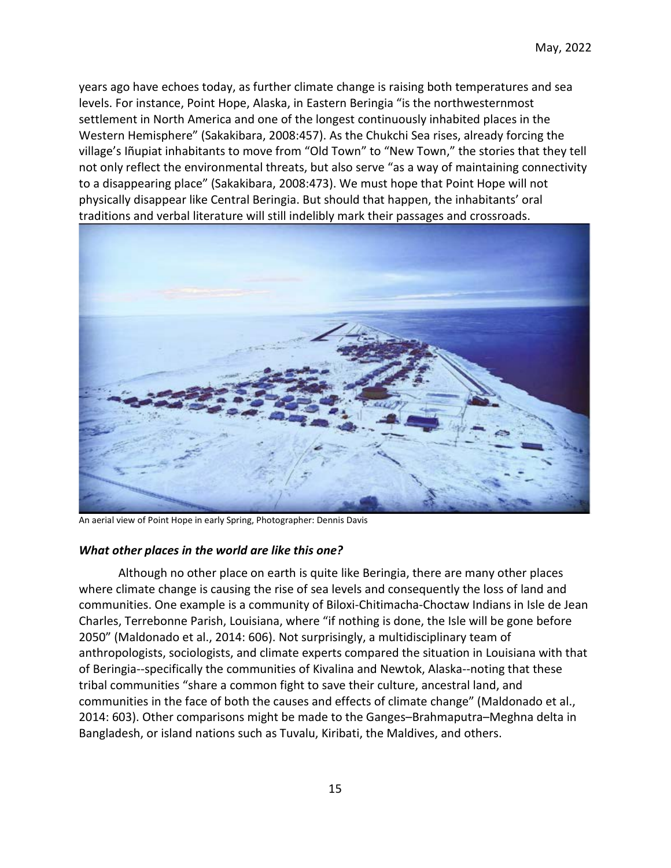years ago have echoes today, as further climate change is raising both temperatures and sea levels. For instance, Point Hope, Alaska, in Eastern Beringia "is the northwesternmost settlement in North America and one of the longest continuously inhabited places in the Western Hemisphere" (Sakakibara, 2008:457). As the Chukchi Sea rises, already forcing the village's Iñupiat inhabitants to move from "Old Town" to "New Town," the stories that they tell not only reflect the environmental threats, but also serve "as a way of maintaining connectivity to a disappearing place" (Sakakibara, 2008:473). We must hope that Point Hope will not physically disappear like Central Beringia. But should that happen, the inhabitants' oral traditions and verbal literature will still indelibly mark their passages and crossroads.



An aerial view of Point Hope in early Spring, Photographer: Dennis Davis

### *What other places in the world are like this one?*

Although no other place on earth is quite like Beringia, there are many other places where climate change is causing the rise of sea levels and consequently the loss of land and communities. One example is a community of Biloxi-Chitimacha-Choctaw Indians in Isle de Jean Charles, Terrebonne Parish, Louisiana, where "if nothing is done, the Isle will be gone before 2050" (Maldonado et al., 2014: 606). Not surprisingly, a multidisciplinary team of anthropologists, sociologists, and climate experts compared the situation in Louisiana with that of Beringia--specifically the communities of Kivalina and Newtok, Alaska--noting that these tribal communities "share a common fight to save their culture, ancestral land, and communities in the face of both the causes and effects of climate change" (Maldonado et al., 2014: 603). Other comparisons might be made to the Ganges–Brahmaputra–Meghna delta in Bangladesh, or island nations such as Tuvalu, Kiribati, the Maldives, and others.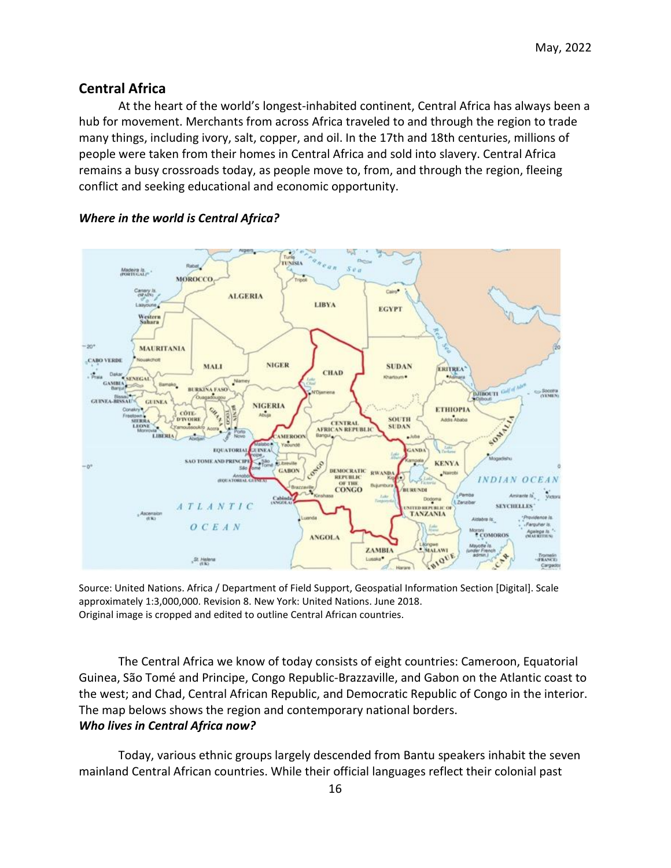## **Central Africa**

At the heart of the world's longest-inhabited continent, Central Africa has always been a hub for movement. Merchants from across Africa traveled to and through the region to trade many things, including ivory, salt, copper, and oil. In the 17th and 18th centuries, millions of people were taken from their homes in Central Africa and sold into slavery. Central Africa remains a busy crossroads today, as people move to, from, and through the region, fleeing conflict and seeking educational and economic opportunity.



### *Where in the world is Central Africa?*

Source: United Nations. Africa / Department of Field Support, Geospatial Information Section [Digital]. Scale approximately 1:3,000,000. Revision 8. New York: United Nations. June 2018. Original image is cropped and edited to outline Central African countries.

The Central Africa we know of today consists of eight countries: Cameroon, Equatorial Guinea, São Tomé and Principe, Congo Republic-Brazzaville, and Gabon on the Atlantic coast to the west; and Chad, Central African Republic, and Democratic Republic of Congo in the interior. The map belows shows the region and contemporary national borders. *Who lives in Central Africa now?*

Today, various ethnic groups largely descended from Bantu speakers inhabit the seven mainland Central African countries. While their official languages reflect their colonial past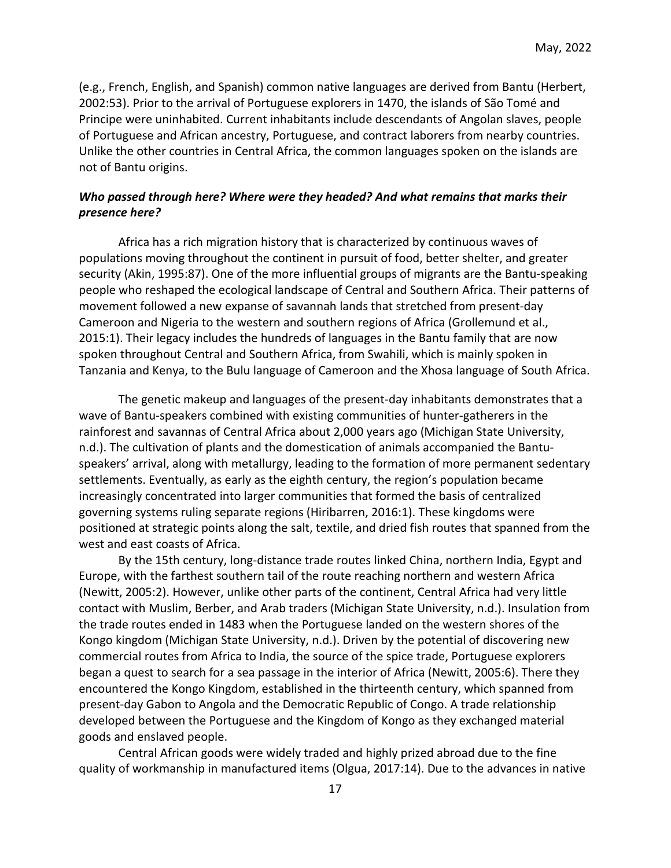(e.g., French, English, and Spanish) common native languages are derived from Bantu (Herbert, 2002:53). Prior to the arrival of Portuguese explorers in 1470, the islands of São Tomé and Principe were uninhabited. Current inhabitants include descendants of Angolan slaves, people of Portuguese and African ancestry, Portuguese, and contract laborers from nearby countries. Unlike the other countries in Central Africa, the common languages spoken on the islands are not of Bantu origins.

## *Who passed through here? Where were they headed? And what remains that marks their presence here?*

Africa has a rich migration history that is characterized by continuous waves of populations moving throughout the continent in pursuit of food, better shelter, and greater security (Akin, 1995:87). One of the more influential groups of migrants are the Bantu-speaking people who reshaped the ecological landscape of Central and Southern Africa. Their patterns of movement followed a new expanse of savannah lands that stretched from present-day Cameroon and Nigeria to the western and southern regions of Africa (Grollemund et al., 2015:1). Their legacy includes the hundreds of languages in the Bantu family that are now spoken throughout Central and Southern Africa, from Swahili, which is mainly spoken in Tanzania and Kenya, to the Bulu language of Cameroon and the Xhosa language of South Africa.

The genetic makeup and languages of the present-day inhabitants demonstrates that a wave of Bantu-speakers combined with existing communities of hunter-gatherers in the rainforest and savannas of Central Africa about 2,000 years ago (Michigan State University, n.d.). The cultivation of plants and the domestication of animals accompanied the Bantuspeakers' arrival, along with metallurgy, leading to the formation of more permanent sedentary settlements. Eventually, as early as the eighth century, the region's population became increasingly concentrated into larger communities that formed the basis of centralized governing systems ruling separate regions (Hiribarren, 2016:1). These kingdoms were positioned at strategic points along the salt, textile, and dried fish routes that spanned from the west and east coasts of Africa.

By the 15th century, long-distance trade routes linked China, northern India, Egypt and Europe, with the farthest southern tail of the route reaching northern and western Africa (Newitt, 2005:2). However, unlike other parts of the continent, Central Africa had very little contact with Muslim, Berber, and Arab traders (Michigan State University, n.d.). Insulation from the trade routes ended in 1483 when the Portuguese landed on the western shores of the Kongo kingdom (Michigan State University, n.d.). Driven by the potential of discovering new commercial routes from Africa to India, the source of the spice trade, Portuguese explorers began a quest to search for a sea passage in the interior of Africa (Newitt, 2005:6). There they encountered the Kongo Kingdom, established in the thirteenth century, which spanned from present-day Gabon to Angola and the Democratic Republic of Congo. A trade relationship developed between the Portuguese and the Kingdom of Kongo as they exchanged material goods and enslaved people.

Central African goods were widely traded and highly prized abroad due to the fine quality of workmanship in manufactured items (Olgua, 2017:14). Due to the advances in native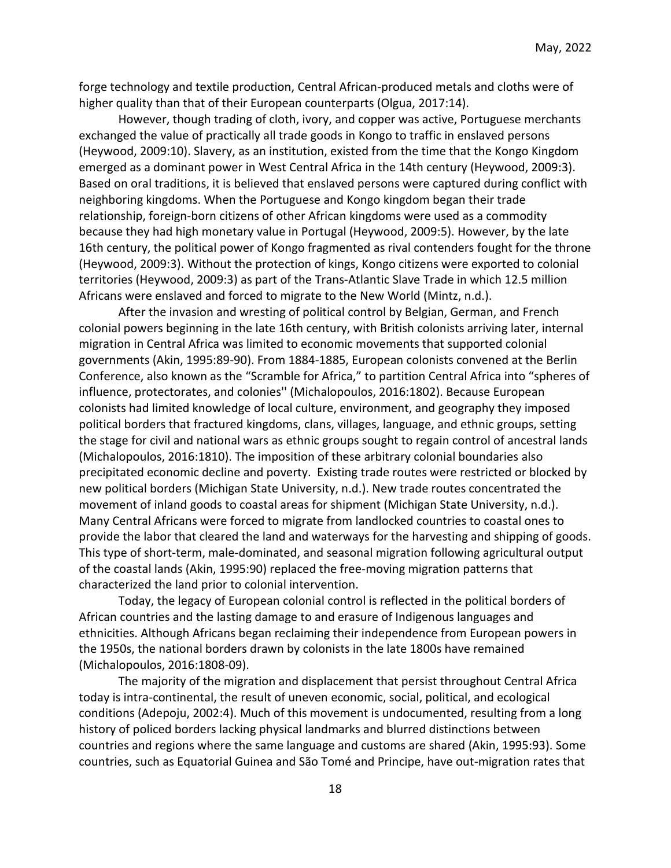forge technology and textile production, Central African-produced metals and cloths were of higher quality than that of their European counterparts (Olgua, 2017:14).

However, though trading of cloth, ivory, and copper was active, Portuguese merchants exchanged the value of practically all trade goods in Kongo to traffic in enslaved persons (Heywood, 2009:10). Slavery, as an institution, existed from the time that the Kongo Kingdom emerged as a dominant power in West Central Africa in the 14th century (Heywood, 2009:3). Based on oral traditions, it is believed that enslaved persons were captured during conflict with neighboring kingdoms. When the Portuguese and Kongo kingdom began their trade relationship, foreign-born citizens of other African kingdoms were used as a commodity because they had high monetary value in Portugal (Heywood, 2009:5). However, by the late 16th century, the political power of Kongo fragmented as rival contenders fought for the throne (Heywood, 2009:3). Without the protection of kings, Kongo citizens were exported to colonial territories (Heywood, 2009:3) as part of the Trans-Atlantic Slave Trade in which 12.5 million Africans were enslaved and forced to migrate to the New World (Mintz, n.d.).

After the invasion and wresting of political control by Belgian, German, and French colonial powers beginning in the late 16th century, with British colonists arriving later, internal migration in Central Africa was limited to economic movements that supported colonial governments (Akin, 1995:89-90). From 1884-1885, European colonists convened at the Berlin Conference, also known as the "Scramble for Africa," to partition Central Africa into "spheres of influence, protectorates, and colonies'' (Michalopoulos, 2016:1802). Because European colonists had limited knowledge of local culture, environment, and geography they imposed political borders that fractured kingdoms, clans, villages, language, and ethnic groups, setting the stage for civil and national wars as ethnic groups sought to regain control of ancestral lands (Michalopoulos, 2016:1810). The imposition of these arbitrary colonial boundaries also precipitated economic decline and poverty. Existing trade routes were restricted or blocked by new political borders (Michigan State University, n.d.). New trade routes concentrated the movement of inland goods to coastal areas for shipment (Michigan State University, n.d.). Many Central Africans were forced to migrate from landlocked countries to coastal ones to provide the labor that cleared the land and waterways for the harvesting and shipping of goods. This type of short-term, male-dominated, and seasonal migration following agricultural output of the coastal lands (Akin, 1995:90) replaced the free-moving migration patterns that characterized the land prior to colonial intervention.

Today, the legacy of European colonial control is reflected in the political borders of African countries and the lasting damage to and erasure of Indigenous languages and ethnicities. Although Africans began reclaiming their independence from European powers in the 1950s, the national borders drawn by colonists in the late 1800s have remained (Michalopoulos, 2016:1808-09).

The majority of the migration and displacement that persist throughout Central Africa today is intra-continental, the result of uneven economic, social, political, and ecological conditions (Adepoju, 2002:4). Much of this movement is undocumented, resulting from a long history of policed borders lacking physical landmarks and blurred distinctions between countries and regions where the same language and customs are shared (Akin, 1995:93). Some countries, such as Equatorial Guinea and São Tomé and Principe, have out-migration rates that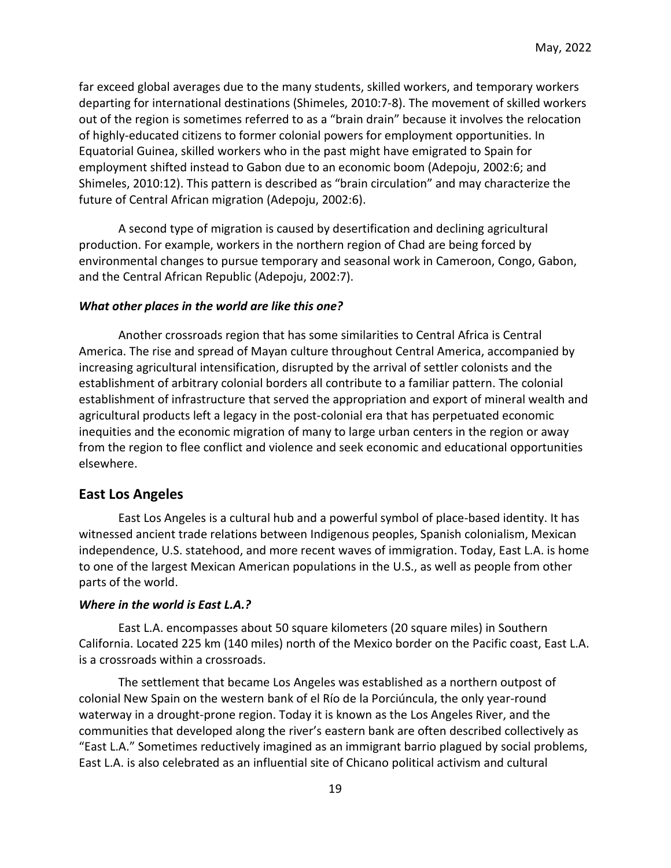far exceed global averages due to the many students, skilled workers, and temporary workers departing for international destinations (Shimeles, 2010:7-8). The movement of skilled workers out of the region is sometimes referred to as a "brain drain" because it involves the relocation of highly-educated citizens to former colonial powers for employment opportunities. In Equatorial Guinea, skilled workers who in the past might have emigrated to Spain for employment shifted instead to Gabon due to an economic boom (Adepoju, 2002:6; and Shimeles, 2010:12). This pattern is described as "brain circulation" and may characterize the future of Central African migration (Adepoju, 2002:6).

A second type of migration is caused by desertification and declining agricultural production. For example, workers in the northern region of Chad are being forced by environmental changes to pursue temporary and seasonal work in Cameroon, Congo, Gabon, and the Central African Republic (Adepoju, 2002:7).

#### *What other places in the world are like this one?*

Another crossroads region that has some similarities to Central Africa is Central America. The rise and spread of Mayan culture throughout Central America, accompanied by increasing agricultural intensification, disrupted by the arrival of settler colonists and the establishment of arbitrary colonial borders all contribute to a familiar pattern. The colonial establishment of infrastructure that served the appropriation and export of mineral wealth and agricultural products left a legacy in the post-colonial era that has perpetuated economic inequities and the economic migration of many to large urban centers in the region or away from the region to flee conflict and violence and seek economic and educational opportunities elsewhere.

### **East Los Angeles**

East Los Angeles is a cultural hub and a powerful symbol of place-based identity. It has witnessed ancient trade relations between Indigenous peoples, Spanish colonialism, Mexican independence, U.S. statehood, and more recent waves of immigration. Today, East L.A. is home to one of the largest Mexican American populations in the U.S., as well as people from other parts of the world.

#### *Where in the world is East L.A.?*

East L.A. encompasses about 50 square kilometers (20 square miles) in Southern California. Located 225 km (140 miles) north of the Mexico border on the Pacific coast, East L.A. is a crossroads within a crossroads.

The settlement that became Los Angeles was established as a northern outpost of colonial New Spain on the western bank of el Río de la Porciúncula, the only year-round waterway in a drought-prone region. Today it is known as the Los Angeles River, and the communities that developed along the river's eastern bank are often described collectively as "East L.A." Sometimes reductively imagined as an immigrant barrio plagued by social problems, East L.A. is also celebrated as an influential site of Chicano political activism and cultural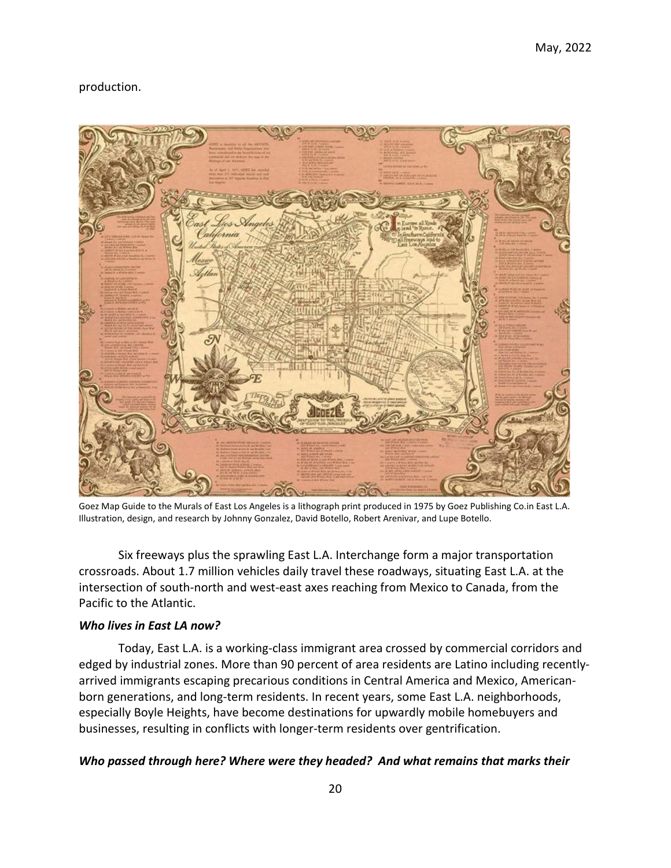## production.



Goez Map Guide to the Murals of East Los Angeles is a lithograph print produced in 1975 by Goez Publishing Co.in East L.A. Illustration, design, and research by Johnny Gonzalez, David Botello, Robert Arenivar, and Lupe Botello.

Six freeways plus the sprawling East L.A. Interchange form a major transportation crossroads. About 1.7 million vehicles daily travel these roadways, situating East L.A. at the intersection of south-north and west-east axes reaching from Mexico to Canada, from the Pacific to the Atlantic.

## *Who lives in East LA now?*

Today, East L.A. is a working-class immigrant area crossed by commercial corridors and edged by industrial zones. More than 90 percent of area residents are Latino including recentlyarrived immigrants escaping precarious conditions in Central America and Mexico, Americanborn generations, and long-term residents. In recent years, some East L.A. neighborhoods, especially Boyle Heights, have become destinations for upwardly mobile homebuyers and businesses, resulting in conflicts with longer-term residents over gentrification.

### *Who passed through here? Where were they headed? And what remains that marks their*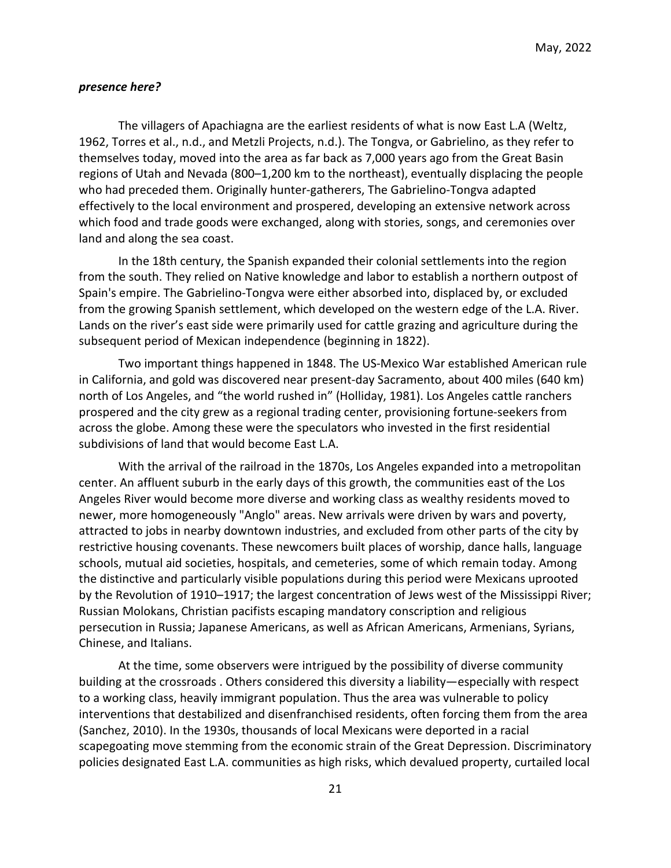#### *presence here?*

The villagers of Apachiagna are the earliest residents of what is now East L.A (Weltz, 1962, Torres et al., n.d., and Metzli Projects, n.d.). The Tongva, or Gabrielino, as they refer to themselves today, moved into the area as far back as 7,000 years ago from the Great Basin regions of Utah and Nevada (800–1,200 km to the northeast), eventually displacing the people who had preceded them. Originally hunter-gatherers, The Gabrielino-Tongva adapted effectively to the local environment and prospered, developing an extensive network across which food and trade goods were exchanged, along with stories, songs, and ceremonies over land and along the sea coast.

In the 18th century, the Spanish expanded their colonial settlements into the region from the south. They relied on Native knowledge and labor to establish a northern outpost of Spain's empire. The Gabrielino-Tongva were either absorbed into, displaced by, or excluded from the growing Spanish settlement, which developed on the western edge of the L.A. River. Lands on the river's east side were primarily used for cattle grazing and agriculture during the subsequent period of Mexican independence (beginning in 1822).

Two important things happened in 1848. The US-Mexico War established American rule in California, and gold was discovered near present-day Sacramento, about 400 miles (640 km) north of Los Angeles, and "the world rushed in" (Holliday, 1981). Los Angeles cattle ranchers prospered and the city grew as a regional trading center, provisioning fortune-seekers from across the globe. Among these were the speculators who invested in the first residential subdivisions of land that would become East L.A.

With the arrival of the railroad in the 1870s, Los Angeles expanded into a metropolitan center. An affluent suburb in the early days of this growth, the communities east of the Los Angeles River would become more diverse and working class as wealthy residents moved to newer, more homogeneously "Anglo" areas. New arrivals were driven by wars and poverty, attracted to jobs in nearby downtown industries, and excluded from other parts of the city by restrictive housing covenants. These newcomers built places of worship, dance halls, language schools, mutual aid societies, hospitals, and cemeteries, some of which remain today. Among the distinctive and particularly visible populations during this period were Mexicans uprooted by the Revolution of 1910–1917; the largest concentration of Jews west of the Mississippi River; Russian Molokans, Christian pacifists escaping mandatory conscription and religious persecution in Russia; Japanese Americans, as well as African Americans, Armenians, Syrians, Chinese, and Italians.

At the time, some observers were intrigued by the possibility of diverse community building at the crossroads . Others considered this diversity a liability—especially with respect to a working class, heavily immigrant population. Thus the area was vulnerable to policy interventions that destabilized and disenfranchised residents, often forcing them from the area (Sanchez, 2010). In the 1930s, thousands of local Mexicans were deported in a racial scapegoating move stemming from the economic strain of the Great Depression. Discriminatory policies designated East L.A. communities as high risks, which devalued property, curtailed local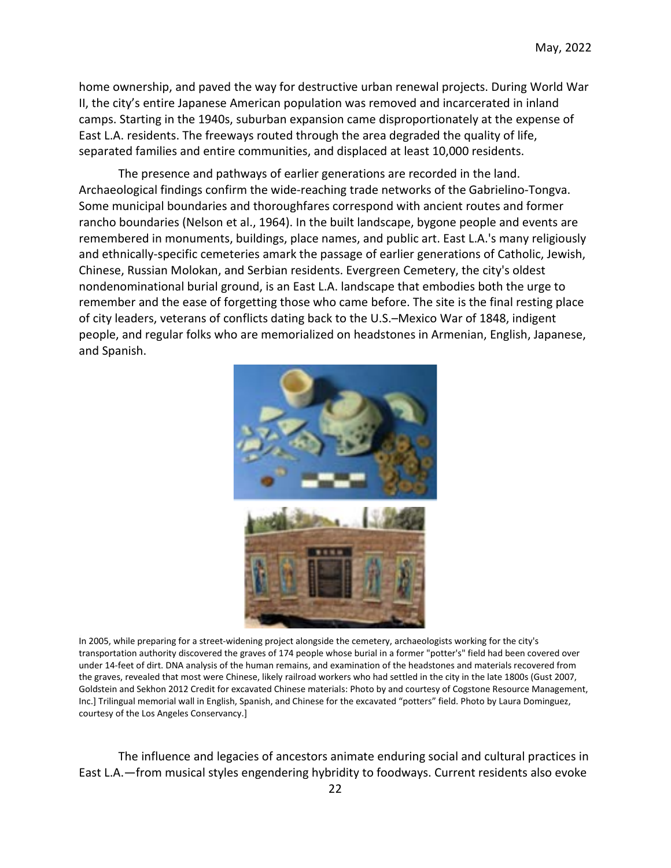home ownership, and paved the way for destructive urban renewal projects. During World War II, the city's entire Japanese American population was removed and incarcerated in inland camps. Starting in the 1940s, suburban expansion came disproportionately at the expense of East L.A. residents. The freeways routed through the area degraded the quality of life, separated families and entire communities, and displaced at least 10,000 residents.

The presence and pathways of earlier generations are recorded in the land. Archaeological findings confirm the wide-reaching trade networks of the Gabrielino-Tongva. Some municipal boundaries and thoroughfares correspond with ancient routes and former rancho boundaries (Nelson et al., 1964). In the built landscape, bygone people and events are remembered in monuments, buildings, place names, and public art. East L.A.'s many religiously and ethnically-specific cemeteries amark the passage of earlier generations of Catholic, Jewish, Chinese, Russian Molokan, and Serbian residents. Evergreen Cemetery, the city's oldest nondenominational burial ground, is an East L.A. landscape that embodies both the urge to remember and the ease of forgetting those who came before. The site is the final resting place of city leaders, veterans of conflicts dating back to the U.S.–Mexico War of 1848, indigent people, and regular folks who are memorialized on headstones in Armenian, English, Japanese, and Spanish.



In 2005, while preparing for a street-widening project alongside the cemetery, archaeologists working for the city's transportation authority discovered the graves of 174 people whose burial in a former "potter's" field had been covered over under 14-feet of dirt. DNA analysis of the human remains, and examination of the headstones and materials recovered from the graves, revealed that most were Chinese, likely railroad workers who had settled in the city in the late 1800s (Gust 2007, Goldstein and Sekhon 2012 Credit for excavated Chinese materials: Photo by and courtesy of Cogstone Resource Management, Inc.] Trilingual memorial wall in English, Spanish, and Chinese for the excavated "potters" field. Photo by Laura Dominguez, courtesy of the Los Angeles Conservancy.]

The influence and legacies of ancestors animate enduring social and cultural practices in East L.A.—from musical styles engendering hybridity to foodways. Current residents also evoke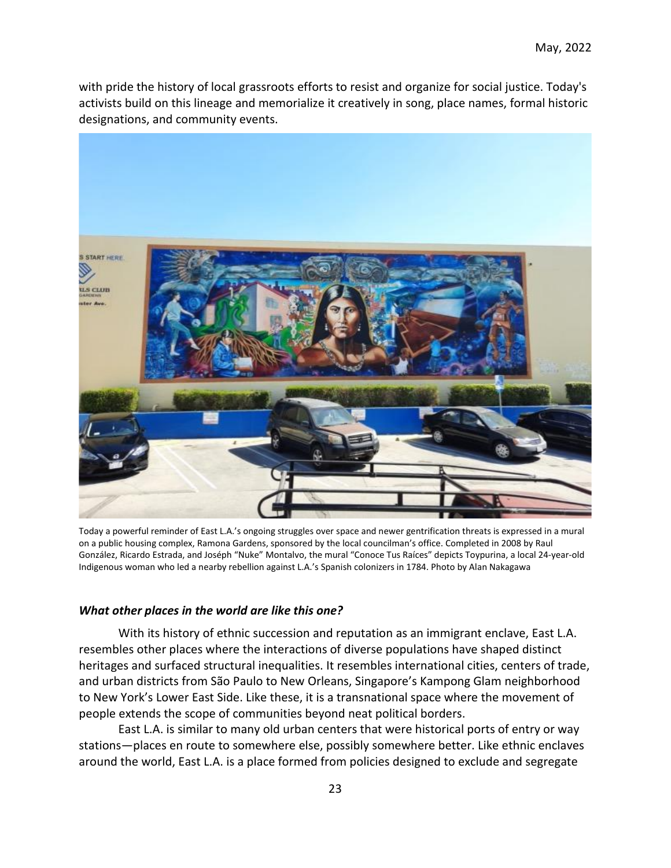with pride the history of local grassroots efforts to resist and organize for social justice. Today's activists build on this lineage and memorialize it creatively in song, place names, formal historic designations, and community events.



Today a powerful reminder of East L.A.'s ongoing struggles over space and newer gentrification threats is expressed in a mural on a public housing complex, Ramona Gardens, sponsored by the local councilman's office. Completed in 2008 by Raul González, Ricardo Estrada, and Joséph "Nuke" Montalvo, the mural "Conoce Tus Raíces" depicts Toypurina, a local 24-year-old Indigenous woman who led a nearby rebellion against L.A.'s Spanish colonizers in 1784. Photo by Alan Nakagawa

### *What other places in the world are like this one?*

With its history of ethnic succession and reputation as an immigrant enclave, East L.A. resembles other places where the interactions of diverse populations have shaped distinct heritages and surfaced structural inequalities. It resembles international cities, centers of trade, and urban districts from São Paulo to New Orleans, Singapore's Kampong Glam neighborhood to New York's Lower East Side. Like these, it is a transnational space where the movement of people extends the scope of communities beyond neat political borders.

East L.A. is similar to many old urban centers that were historical ports of entry or way stations—places en route to somewhere else, possibly somewhere better. Like ethnic enclaves around the world, East L.A. is a place formed from policies designed to exclude and segregate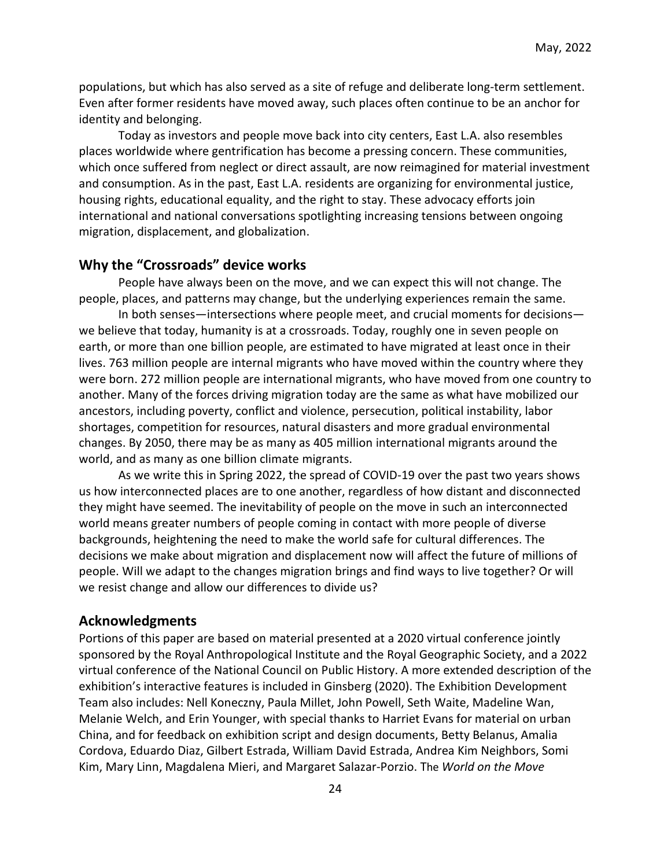populations, but which has also served as a site of refuge and deliberate long-term settlement. Even after former residents have moved away, such places often continue to be an anchor for identity and belonging.

Today as investors and people move back into city centers, East L.A. also resembles places worldwide where gentrification has become a pressing concern. These communities, which once suffered from neglect or direct assault, are now reimagined for material investment and consumption. As in the past, East L.A. residents are organizing for environmental justice, housing rights, educational equality, and the right to stay. These advocacy efforts join international and national conversations spotlighting increasing tensions between ongoing migration, displacement, and globalization.

## **Why the "Crossroads" device works**

People have always been on the move, and we can expect this will not change. The people, places, and patterns may change, but the underlying experiences remain the same.

In both senses—intersections where people meet, and crucial moments for decisions we believe that today, humanity is at a crossroads. Today, roughly one in seven people on earth, or more than one billion people, are estimated to have migrated at least once in their lives. 763 million people are internal migrants who have moved within the country where they were born. 272 million people are international migrants, who have moved from one country to another. Many of the forces driving migration today are the same as what have mobilized our ancestors, including poverty, conflict and violence, persecution, political instability, labor shortages, competition for resources, natural disasters and more gradual environmental changes. By 2050, there may be as many as 405 million international migrants around the world, and as many as one billion climate migrants.

As we write this in Spring 2022, the spread of COVID-19 over the past two years shows us how interconnected places are to one another, regardless of how distant and disconnected they might have seemed. The inevitability of people on the move in such an interconnected world means greater numbers of people coming in contact with more people of diverse backgrounds, heightening the need to make the world safe for cultural differences. The decisions we make about migration and displacement now will affect the future of millions of people. Will we adapt to the changes migration brings and find ways to live together? Or will we resist change and allow our differences to divide us?

### **Acknowledgments**

Portions of this paper are based on material presented at a 2020 virtual conference jointly sponsored by the Royal Anthropological Institute and the Royal Geographic Society, and a 2022 virtual conference of the National Council on Public History. A more extended description of the exhibition's interactive features is included in Ginsberg (2020). The Exhibition Development Team also includes: Nell Koneczny, Paula Millet, John Powell, Seth Waite, Madeline Wan, Melanie Welch, and Erin Younger, with special thanks to Harriet Evans for material on urban China, and for feedback on exhibition script and design documents, Betty Belanus, Amalia Cordova, Eduardo Diaz, Gilbert Estrada, William David Estrada, Andrea Kim Neighbors, Somi Kim, Mary Linn, Magdalena Mieri, and Margaret Salazar-Porzio. The *World on the Move*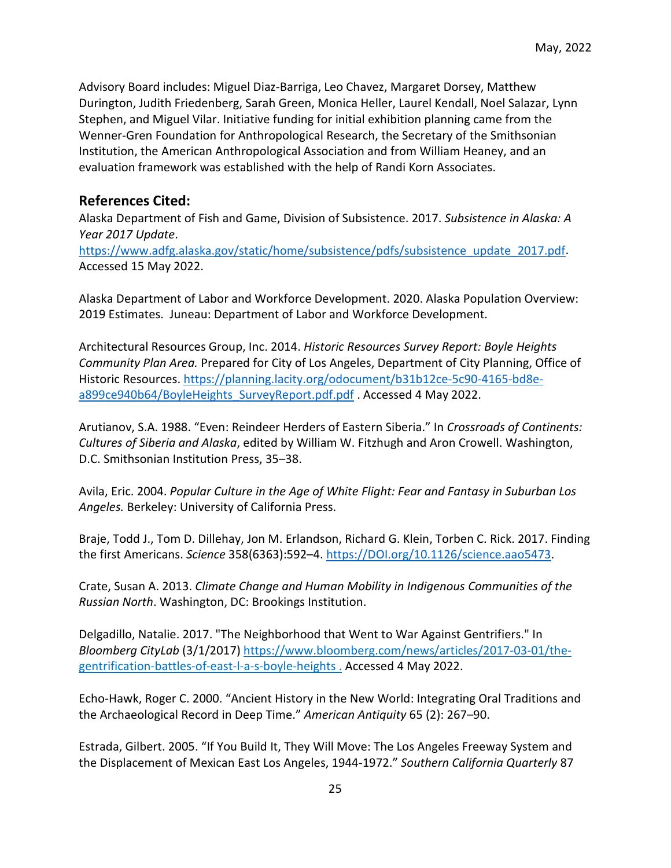Advisory Board includes: Miguel Diaz-Barriga, Leo Chavez, Margaret Dorsey, Matthew Durington, Judith Friedenberg, Sarah Green, Monica Heller, Laurel Kendall, Noel Salazar, Lynn Stephen, and Miguel Vilar. Initiative funding for initial exhibition planning came from the Wenner-Gren Foundation for Anthropological Research, the Secretary of the Smithsonian Institution, the American Anthropological Association and from William Heaney, and an evaluation framework was established with the help of Randi Korn Associates.

# **References Cited:**

Alaska Department of Fish and Game, Division of Subsistence. 2017. *Subsistence in Alaska: A Year 2017 Update*.

[https://www.adfg.alaska.gov/static/home/subsistence/pdfs/subsistence\\_update\\_2017.pdf.](https://www.adfg.alaska.gov/static/home/subsistence/pdfs/subsistence_update_2017.pdf) Accessed 15 May 2022.

Alaska Department of Labor and Workforce Development. 2020. Alaska Population Overview: 2019 Estimates. Juneau: Department of Labor and Workforce Development.

Architectural Resources Group, Inc. 2014. *Historic Resources Survey Report: Boyle Heights Community Plan Area.* Prepared for City of Los Angeles, Department of City Planning, Office of Historic Resources. [https://planning.lacity.org/odocument/b31b12ce-5c90-4165-bd8e](https://planning.lacity.org/odocument/b31b12ce-5c90-4165-bd8e-a899ce940b64/BoyleHeights_SurveyReport.pdf.pdf)[a899ce940b64/BoyleHeights\\_SurveyReport.pdf.pdf](https://planning.lacity.org/odocument/b31b12ce-5c90-4165-bd8e-a899ce940b64/BoyleHeights_SurveyReport.pdf.pdf) . Accessed 4 May 2022.

Arutianov, S.A. 1988. "Even: Reindeer Herders of Eastern Siberia." In *Crossroads of Continents: Cultures of Siberia and Alaska*, edited by William W. Fitzhugh and Aron Crowell. Washington, D.C. Smithsonian Institution Press, 35–38.

Avila, Eric. 2004. *Popular Culture in the Age of White Flight: Fear and Fantasy in Suburban Los Angeles.* Berkeley: University of California Press.

Braje, Todd J., Tom D. Dillehay, Jon M. Erlandson, Richard G. Klein, Torben C. Rick. 2017. Finding the first Americans. *Science* 358(6363):592–4[. https://DOI.org/10.1126/science.aao5473.](https://doi.org/10.1126/science.aao5473)

Crate, Susan A. 2013. *Climate Change and Human Mobility in Indigenous Communities of the Russian North*. Washington, DC: Brookings Institution.

Delgadillo, Natalie. 2017. "The Neighborhood that Went to War Against Gentrifiers." In *Bloomberg CityLab* (3/1/2017) [https://www.bloomberg.com/news/articles/2017-03-01/the](https://www.bloomberg.com/news/articles/2017-03-01/the-gentrification-battles-of-east-l-a-s-boyle-heights)[gentrification-battles-of-east-l-a-s-boyle-heights](https://www.bloomberg.com/news/articles/2017-03-01/the-gentrification-battles-of-east-l-a-s-boyle-heights) . Accessed 4 May 2022.

Echo-Hawk, Roger C. 2000. "Ancient History in the New World: Integrating Oral Traditions and the Archaeological Record in Deep Time." *American Antiquity* 65 (2): 267–90.

Estrada, Gilbert. 2005. "If You Build It, They Will Move: The Los Angeles Freeway System and the Displacement of Mexican East Los Angeles, 1944-1972." *Southern California Quarterly* 87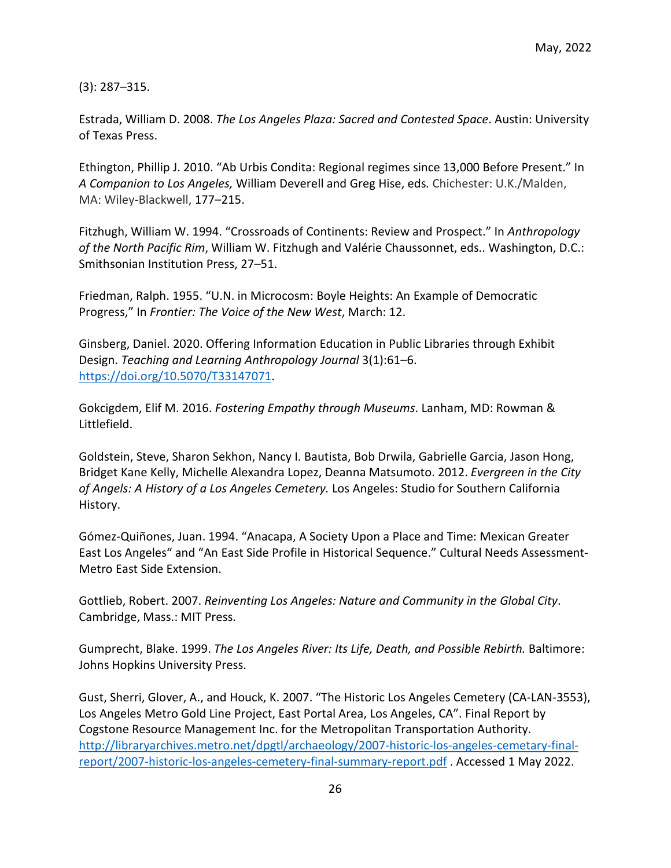(3): 287–315.

Estrada, William D. 2008. *The Los Angeles Plaza: Sacred and Contested Space*. Austin: University of Texas Press.

Ethington, Phillip J. 2010. "Ab Urbis Condita: Regional regimes since 13,000 Before Present." In *A Companion to Los Angeles,* William Deverell and Greg Hise, eds*.* Chichester: U.K./Malden, MA: Wiley-Blackwell, 177–215.

Fitzhugh, William W. 1994. "Crossroads of Continents: Review and Prospect." In *Anthropology of the North Pacific Rim*, William W. Fitzhugh and Valérie Chaussonnet, eds.. Washington, D.C.: Smithsonian Institution Press, 27–51.

Friedman, Ralph. 1955. "U.N. in Microcosm: Boyle Heights: An Example of Democratic Progress," In *Frontier: The Voice of the New West*, March: 12.

Ginsberg, Daniel. 2020. Offering Information Education in Public Libraries through Exhibit Design. *Teaching and Learning Anthropology Journal* 3(1):61–6. [https://doi.org/10.5070/T33147071.](https://doi.org/10.5070/T33147071)

Gokcigdem, Elif M. 2016. *Fostering Empathy through Museums*. Lanham, MD: Rowman & Littlefield.

Goldstein, Steve, Sharon Sekhon, Nancy I. Bautista, Bob Drwila, Gabrielle Garcia, Jason Hong, Bridget Kane Kelly, Michelle Alexandra Lopez, Deanna Matsumoto. 2012. *Evergreen in the City of Angels: A History of a Los Angeles Cemetery.* Los Angeles: Studio for Southern California History.

Gómez-Quiñones, Juan. 1994. "Anacapa, A Society Upon a Place and Time: Mexican Greater East Los Angeles" and "An East Side Profile in Historical Sequence." Cultural Needs Assessment-Metro East Side Extension.

Gottlieb, Robert. 2007. *Reinventing Los Angeles: Nature and Community in the Global City*. Cambridge, Mass.: MIT Press.

Gumprecht, Blake. 1999. *The Los Angeles River: Its Life, Death, and Possible Rebirth.* Baltimore: Johns Hopkins University Press.

Gust, Sherri, Glover, A., and Houck, K. 2007. "The Historic Los Angeles Cemetery (CA-LAN-3553), Los Angeles Metro Gold Line Project, East Portal Area, Los Angeles, CA". Final Report by Cogstone Resource Management Inc. for the Metropolitan Transportation Authority. [http://libraryarchives.metro.net/dpgtl/archaeology/2007-historic-los-angeles-cemetary-final](http://libraryarchives.metro.net/dpgtl/archaeology/2007-historic-los-angeles-cemetary-final-report/2007-historic-los-angeles-cemetery-final-summary-report.pdf)[report/2007-historic-los-angeles-cemetery-final-summary-report.pdf](http://libraryarchives.metro.net/dpgtl/archaeology/2007-historic-los-angeles-cemetary-final-report/2007-historic-los-angeles-cemetery-final-summary-report.pdf) . Accessed 1 May 2022.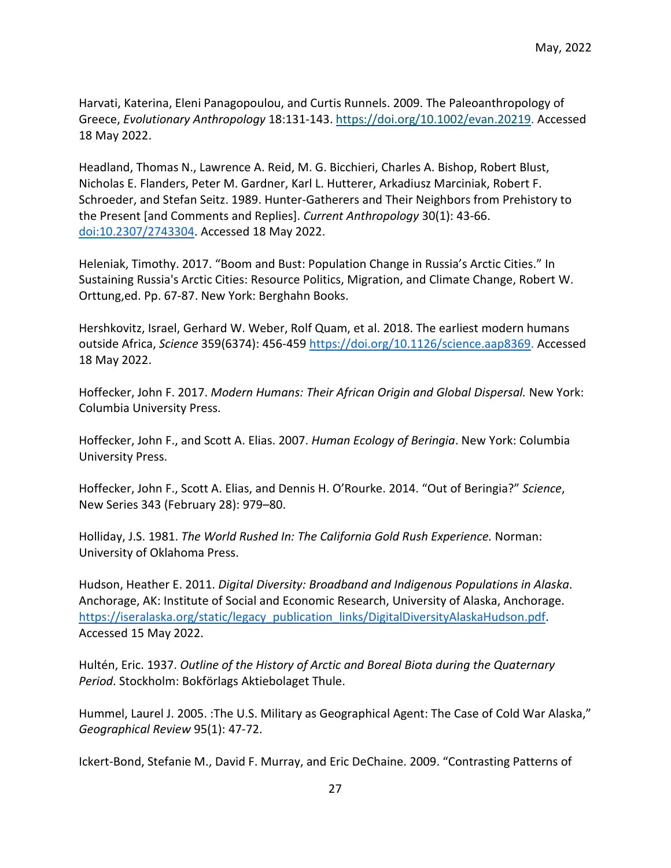Harvati, Katerina, Eleni Panagopoulou, and Curtis Runnels. 2009. The Paleoanthropology of Greece, *Evolutionary Anthropology* 18:131-143. [https://doi.org/10.1002/evan.20219.](https://doi.org/10.1002/evan.20219) Accessed 18 May 2022.

Headland, Thomas N., Lawrence A. Reid, M. G. Bicchieri, Charles A. Bishop, Robert Blust, Nicholas E. Flanders, Peter M. Gardner, Karl L. Hutterer, Arkadiusz Marciniak, Robert F. Schroeder, and Stefan Seitz. 1989. Hunter-Gatherers and Their Neighbors from Prehistory to the Present [and Comments and Replies]. *Current Anthropology* 30(1): 43-66. [doi:10.2307/2743304.](https://doi.org/10.2307/2743304) Accessed 18 May 2022.

Heleniak, Timothy. 2017. "Boom and Bust: Population Change in Russia's Arctic Cities." In Sustaining Russia's Arctic Cities: Resource Politics, Migration, and Climate Change, Robert W. Orttung,ed. Pp. 67-87. New York: Berghahn Books.

Hershkovitz, Israel, Gerhard W. Weber, Rolf Quam, et al. 2018. The earliest modern humans outside Africa, *Science* 359(6374): 456-459 [https://doi.org/10.1126/science.aap8369.](https://doi.org/10.1126/science.aap8369) Accessed 18 May 2022.

Hoffecker, John F. 2017. *Modern Humans: Their African Origin and Global Dispersal.* New York: Columbia University Press.

Hoffecker, John F., and Scott A. Elias. 2007. *Human Ecology of Beringia*. New York: Columbia University Press.

Hoffecker, John F., Scott A. Elias, and Dennis H. O'Rourke. 2014. "Out of Beringia?" *Science*, New Series 343 (February 28): 979–80.

Holliday, J.S. 1981. *The World Rushed In: The California Gold Rush Experience.* Norman: University of Oklahoma Press.

Hudson, Heather E. 2011. *Digital Diversity: Broadband and Indigenous Populations in Alaska*. Anchorage, AK: Institute of Social and Economic Research, University of Alaska, Anchorage. [https://iseralaska.org/static/legacy\\_publication\\_links/DigitalDiversityAlaskaHudson.pdf.](https://iseralaska.org/static/legacy_publication_links/DigitalDiversityAlaskaHudson.pdf) Accessed 15 May 2022.

Hultén, Eric. 1937. *Outline of the History of Arctic and Boreal Biota during the Quaternary Period*. Stockholm: Bokförlags Aktiebolaget Thule.

Hummel, Laurel J. 2005. :The U.S. Military as Geographical Agent: The Case of Cold War Alaska," *Geographical Review* 95(1): 47-72.

Ickert-Bond, Stefanie M., David F. Murray, and Eric DeChaine. 2009. "Contrasting Patterns of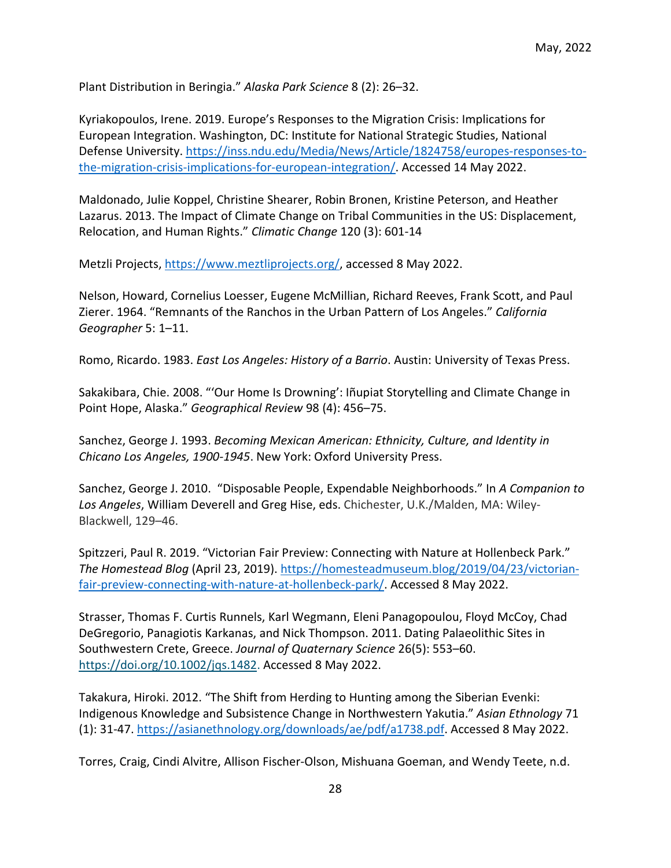Plant Distribution in Beringia." *Alaska Park Science* 8 (2): 26–32.

Kyriakopoulos, Irene. 2019. Europe's Responses to the Migration Crisis: Implications for European Integration. Washington, DC: Institute for National Strategic Studies, National Defense University[. https://inss.ndu.edu/Media/News/Article/1824758/europes-responses-to](https://inss.ndu.edu/Media/News/Article/1824758/europes-responses-to-the-migration-crisis-implications-for-european-integration/)[the-migration-crisis-implications-for-european-integration/.](https://inss.ndu.edu/Media/News/Article/1824758/europes-responses-to-the-migration-crisis-implications-for-european-integration/) Accessed 14 May 2022.

Maldonado, Julie Koppel, Christine Shearer, Robin Bronen, Kristine Peterson, and Heather Lazarus. 2013. The Impact of Climate Change on Tribal Communities in the US: Displacement, Relocation, and Human Rights." *Climatic Change* 120 (3): 601-14

Metzli Projects, [https://www.meztliprojects.org/,](https://www.meztliprojects.org/) accessed 8 May 2022.

Nelson, Howard, Cornelius Loesser, Eugene McMillian, Richard Reeves, Frank Scott, and Paul Zierer. 1964. "Remnants of the Ranchos in the Urban Pattern of Los Angeles." *California Geographer* 5: 1–11.

Romo, Ricardo. 1983. *East Los Angeles: History of a Barrio*. Austin: University of Texas Press.

Sakakibara, Chie. 2008. "'Our Home Is Drowning': Iñupiat Storytelling and Climate Change in Point Hope, Alaska." *Geographical Review* 98 (4): 456–75.

Sanchez, George J. 1993. *Becoming Mexican American: Ethnicity, Culture, and Identity in Chicano Los Angeles, 1900-1945*. New York: Oxford University Press.

Sanchez, George J. 2010. "Disposable People, Expendable Neighborhoods." In *A Companion to Los Angeles*, William Deverell and Greg Hise, eds. Chichester, U.K./Malden, MA: Wiley-Blackwell, 129–46.

Spitzzeri, Paul R. 2019. "Victorian Fair Preview: Connecting with Nature at Hollenbeck Park." *The Homestead Blog* (April 23, 2019). [https://homesteadmuseum.blog/2019/04/23/victorian](https://homesteadmuseum.blog/2019/04/23/victorian-fair-preview-connecting-with-nature-at-hollenbeck-park/)[fair-preview-connecting-with-nature-at-hollenbeck-park/.](https://homesteadmuseum.blog/2019/04/23/victorian-fair-preview-connecting-with-nature-at-hollenbeck-park/) Accessed 8 May 2022.

Strasser, Thomas F. Curtis Runnels, Karl Wegmann, Eleni Panagopoulou, Floyd McCoy, Chad DeGregorio, Panagiotis Karkanas, and Nick Thompson. 2011. Dating Palaeolithic Sites in Southwestern Crete, Greece. *Journal of Quaternary Science* 26(5): 553–60. [https://doi.org/10.1002/jqs.1482.](https://doi.org/10.1002/jqs.1482) Accessed 8 May 2022.

Takakura, Hiroki. 2012. "The Shift from Herding to Hunting among the Siberian Evenki: Indigenous Knowledge and Subsistence Change in Northwestern Yakutia." *Asian Ethnology* 71 (1): 31-47. [https://asianethnology.org/downloads/ae/pdf/a1738.pdf.](https://asianethnology.org/downloads/ae/pdf/a1738.pdf) Accessed 8 May 2022.

Torres, Craig, Cindi Alvitre, Allison Fischer-Olson, Mishuana Goeman, and Wendy Teete, n.d.